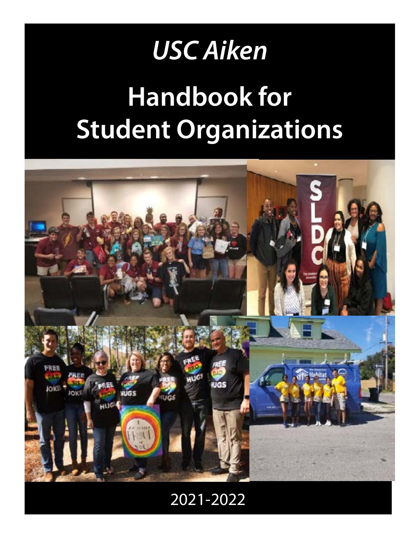# *USC Aiken*

# **Handbook for Student Organizations**



# 2021-2022 *2009-2010*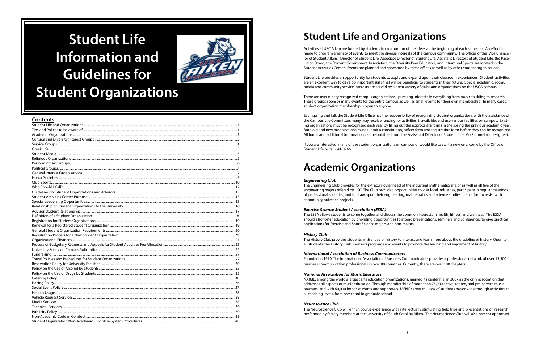# **Student Life Information and Guidelines for Student Organizations**



| Contents |  |
|----------|--|
|          |  |
|          |  |
|          |  |
|          |  |
|          |  |
|          |  |
|          |  |
|          |  |
|          |  |
|          |  |
|          |  |
|          |  |
|          |  |
|          |  |
|          |  |
|          |  |
|          |  |
|          |  |
|          |  |
|          |  |
|          |  |
|          |  |
|          |  |
|          |  |
|          |  |
|          |  |
|          |  |
|          |  |
|          |  |
|          |  |
|          |  |
|          |  |
|          |  |
|          |  |
|          |  |
|          |  |
|          |  |
|          |  |
|          |  |
|          |  |
|          |  |
|          |  |

# **Student Life and Organizations**

Activities at USC Aiken are funded by students from a portion of their fees at the beginning of each semester. An effort is made to program a variety of events to meet the diverse interests of the campus community. The offices of the Vice Chancellor of Student Affairs, Director of Student Life, Associate Director of Student Life, Assistant Directors of Student Life, the Pacer Union Board, the Student Government Association, the Diversity Peer Educators, and Intramural Sports are located in the Student Activities Center. Events are planned and sponsored by these offices as well as by other student organizations.

Student Life provides an opportunity for students to apply and expand upon their classroom experiences. Student activities are an excellent way to develop important skills that will be beneficial to students in their future. Special academic, social, media and community service interests are served by a great variety of clubs and organizations on the USCA campus.

There are over ninety recognized campus organizations pursuing interests in everything from music to skiing to research. These groups sponsor many events for the entire campus as well as small events for their own membership. In many cases, student organization membership is open to anyone.

Each spring and fall, the Student Life Office has the responsibility of recognizing student organizations with the assistance of the Campus Life Committee; many may receive funding for activities, if available, and use various facilities on campus. Existing organizations must be recognized each year by filling out the appropriate forms in the spring the previous academic year. Both old and new organizations must submit a constitution, officer form and registration form before they can be recognized. All forms and additional information can be obtained from the Assisstant Director of Student Life, Mo Rammel (or designee).

If you are interested in any of the student organizations on campus or would like to start a new one, come by the Office of Student Life or call 641-3766.

# **Academic Organizations**

#### *Engineering Club*

The Engineering Club provides for the extracurricular need of the industrial mathematics major as well as all five of the engineering majors offered by USC. The Club provided opportunities to visit local industries, participate in regular meetings of professional societies, and to draw upon their engineering, mathematics and science studies in an effort to assist with community outreach projects.

#### *Exercise Science Student Association (ESSA)*

The ESSA allows students to come together and discuss the common interests in health, fitness, and wellness. The ESSA should also foster education by providing opportunities to attend presentations, seminars and conferences to give practical applications for Exercise and Sport Science majors and non-majors.

#### *History Club*

The History Club provides students with a love of history to interact and learn more about the discipline of history. Open to all students, the History Club sponsors programs and events to promote the learning and enjoyment of history.

#### *International Association of Business Communicators*

Founded in 1970, The International Association of Business Communicators provides a professional network of over 15,500 business communication professionals in over 80 countries. Currently, there are over 100 chapters.

#### *National Association for Music Educators*

NAfME, among the world's largest arts education organizations, marked its centennial in 2007 as the only association that addresses all aspects of music education. Through membership of more than 75,000 active, retired, and pre-service music teachers, and with 60,000 honor students and supporters, MENC serves millions of students nationwide through activities at all teaching levels, from preschool to graduate school.

#### *Neuroscience Club*

The Neuroscience Club will enrich course experience with intellectually stimulating field trips and presentations on research performed by faculty members at the University of South Carolina Aiken. The Neuroscience Club will also present opportuni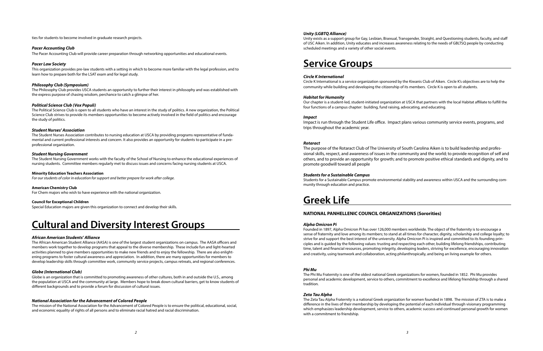ties for students to become involved in graduate research projects.

#### *Pacer Accounting Club*

The Pacer Accounting Club will provide career preparation through networking opportunities and educational events.

#### *Pacer Law Society*

This organization provides pre-law students with a setting in which to become more familiar with the legal profession, and to learn how to prepare both for the LSAT exam and for legal study.

#### *Philosophy Club (Symposium)*

The Philosophy Club provides USCA students an opportunity to further their interest in philosophy and was established with the express purpose of chasing wisdom, perchance to catch a glimpse of her.

#### *Political Science Club (Vox Populi)*

The Political Science Club is open to all students who have an interest in the study of politics. A new organization, the Political Science Club strives to provide its members opportunities to become actively involved in the field of politics and encourage the study of politics.

#### *Student Nurses' Association*

The Student Nurses Association contributes to nursing education at USCA by providing programs representative of fundamental and current professional interests and concern. It also provides an opportunity for students to participate in a preprofessional organization.

#### *Student Nursing Government*

The Student Nursing Government works with the faculty of the School of Nursing to enhance the educational experiences of nursing students. Committee members regularly met to discuss issues and concerns facing nursing students at USCA.

#### **Minority Education Teachers Association**

*For our students of color in education for support and better prepare for work after college.* 

#### **American Chemistry Club**

For Chem majors who wish to have experience with the national organization.

#### **Council for Exceptional Children**

Special Education majors are given this organization to connect and develop their skills.

## **Cultural and Diversity Interest Groups**

#### *African American Students' Alliance*

The African American Student Alliance (AASA) is one of the largest student organizations on campus. The AASA officers and members work together to develop programs that appeal to the diverse membership. These include fun and light-hearted activities planned to give members opportunities to make new friends and to enjoy the fellowship. There are also enlightening programs to foster cultural awareness and appreciation. In addition, there are many opportunities for members to develop leadership skills through committee work, community service projects, campus retreats, and regional conferences.

#### *Globe (International Club)*

Globe is an organization that is committed to promoting awareness of other cultures, both in and outside the U.S., among the population at USCA and the community at large. Members hope to break down cultural barriers, get to know students of different backgrounds and to provide a forum for discussion of cultural issues.

#### *National Association for the Advancement of Colored People*

The mission of the National Association for the Advancement of Colored People is to ensure the political, educational, social, and economic equality of rights of all persons and to eliminate racial hatred and racial discrimination.

#### *Unity (LGBTQ Alliance)*

Unity exists as a support group for Gay, Lesbian, Bisexual, Transgender, Straight, and Questioning students, faculty, and staff of USC Aiken. In addition, Unity educates and increases awareness relating to the needs of GBLTSQ people by conducting scheduled meetings and a variety of other social events.

### **Service Groups**

#### *Circle K International*

Circle K International is a service organization sponsored by the Kiwanis Club of Aiken. Circle K's objectives are to help the community while building and developing the citizenship of its members. Circle K is open to all students.

#### *Habitat for Humanity*

Our chapter is a student-led, student-initiated organization at USCA that partners with the local Habitat affiliate to fulfill the four functions of a campus chapter: building, fund raising, advocating, and educating.

#### *Impact*

Impact is run through the Student Life office. Impact plans various community service events, programs, and trips throughout the academic year.

#### *Rotaract*

The purpose of the Rotaract Club of The University of South Carolina Aiken is to build leadership and professional skills, respect, and awareness of issues in the community and the world; to provide recognition of self and others, and to provide an opportunity for growth; and to promote positive ethical standards and dignity, and to promote goodwill toward all people

#### *Students for a Sustainable Campus*

Students for a Sustainable Campus promote environmental stability and awareness within USCA and the surrounding community through education and practice.

## **Greek Life**

### **NATIONAL PANHELLENIC COUNCIL ORGANIZATIONS (Sororities)**

#### *Alpha Omicron Pi*

Founded in 1897, Alpha Omicron Pi has over 126,000 members worldwide. The object of the fraternity is to encourage a sense of fraternity and love among its members; to stand at all times for character, dignity, scholarship and college loyalty; to strive for and support the best interest of the university. Alpha Omicron Pi is inspired and committed to its founding principles and is guided by the following values: trusting and respecting each other, building lifelong friendships, contributing time, talent and financial resources, promoting integrity, developing leaders, striving for excellence, encouraging innovation and creativity, using teamwork and collaboration, acting philanthropically, and being an living example for others.

#### *Phi Mu*

The Phi Mu Fraternity is one of the oldest national Greek organizations for women, founded in 1852. Phi Mu provides personal and academic development, service to others, commitment to excellence and lifelong friendship through a shared tradition.

#### *Zeta Tau Alpha*

The Zeta Tau Alpha Fraternity is a national Greek organization for women founded in 1898. The mission of ZTA is to make a difference in the lives of their membership by developing the potential of each individual through visionary programming which emphasizes leadership development, service to others, academic success and continued personal growth for women with a commitment to friendship.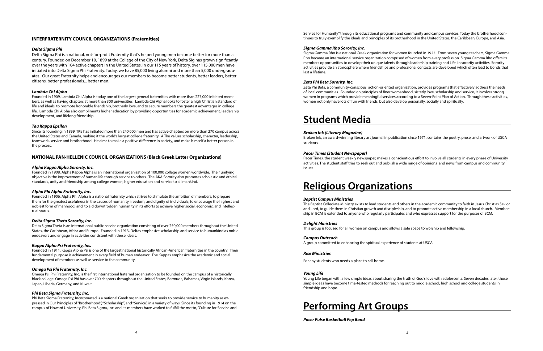#### **INTERFRATERNITY COUNCIL ORGANIZATIONS (Fraternities)**

#### *Delta Sigma Phi*

Delta Sigma Phi is a national, not-for-profit Fraternity that's helped young men become better for more than a century. Founded on December 10, 1899 at the College of the City of New York, Delta Sig has grown significantly over the years with 104 active chapters in the United States. In our 115 years of history, over 115,000 men have initiated into Delta Sigma Phi Fraternity. Today, we have 85,000 living alumni and more than 5,000 undergraduates. Our great Fraternity helps and encourages our members to become better students, better leaders, better citizens, better professionals... better men.

#### *Lambda Chi Alpha*

Founded in 1909, Lambda Chi Alpha is today one of the largest general fraternities with more than 227,000 initiated members, as well as having chapters at more than 300 universities. Lambda Chi Alpha looks to foster a high Christian standard of life and ideals, to promote honorable friendship, brotherly love, and to secure members the greatest advantages in college life. Lambda Chi Alpha also compliments higher education by providing opportunities for academic achievement, leadership development, and lifelong friendship.

#### *Tau Kappa Epsilon*

Since its founding in 1899, TKE has initiated more than 240,000 men and has active chapters on more than 270 campus across the United States and Canada, making it the world's largest college fraternity. A Tke values scholarship, character, leadership, teamwork, service and brotherhood. He aims to make a positive difference in society, and make himself a better person in the process.

#### **NATIONAL PAN-HELLENIC COUNCIL ORGANIZATIONS (Black Greek Letter Organizations)**

#### *Alpha Kappa Alpha Sorority, Inc.*

Founded in 1908, Alpha Kappa Alpha is an international organization of 100,000 college women worldwide. Their unifying objective is the improvement of human life through service to others. The AKA Sorority also promotes scholastic and ethical standards, unity and friendship among college women, higher education and service to all mankind.

#### *Alpha Phi Alpha Fraternity, Inc.*

Founded in 1906, Alpha Phi Alpha is a national fraternity which strives to stimulate the ambition of members; to prepare them for the greatest usefulness in the causes of humanity, freedom, and dignity of individuals; to encourage the highest and noblest form of manhood; and, to aid downtrodden humanity in its efforts to achieve higher social, economic, and intellectual status.

#### *Delta Sigma Theta Sorority, Inc.*

Delta Sigma Theta is an international public service organization consisting of over 250,000 members throughout the United States, the Caribbean, Africa and Europe. Founded in 1913, Deltas emphasize scholarship and service to humankind as noble endeavors and engage in activities consistent with these ideals.

#### *Kappa Alpha Psi Fraternity, Inc.*

Founded in 1911, Kappa Alpha Psi is one of the largest national historically African-American fraternities in the country. Their fundamental purpose is achievement in every field of human endeavor. The Kappas emphasize the academic and social development of members as well as service to the community.

#### *Omega Psi Phi Fraternity, Inc.*

Omega Psi Phi Fraternity, Inc. is the first international fraternal organization to be founded on the campus of a historically black college. Omega Psi Phi has over 700 chapters throughout the United States, Bermuda, Bahamas, Virgin Islands, Korea, Japan, Liberia, Germany, and Kuwait.

#### *Phi Beta Sigma Fraternity, Inc.*

Phi Beta Sigma Fraternity, Incorporated is a national Greek organization that seeks to provide service to humanity as expressed in Our Principles of "Brotherhood", "Scholarship", and "Service", in a variety of ways. Since its founding in 1914 on the campus of Howard University, Phi Beta Sigma, Inc. and its members have worked to fulfill the motto, "Culture for Service and Service for Humanity" through its educational programs and community and campus services. Today the brotherhood continues to truly exemplify the ideals and principles of its brotherhood in the United States, the Caribbean, Europe, and Asia.

#### *Sigma Gamma Rho Sorority, Inc.*

Sigma Gamma Rho is a national Greek organization for women founded in 1922. From seven young teachers, Sigma Gamma Rho became an international service organization comprised of women from every profession. Sigma Gamma Rho offers its members opportunities to develop their unique talents through leadership training and Life in sorority activities. Sorority activities provide an atmosphere where friendships and professional contacts are developed which often lead to bonds that last a lifetime.

#### *Zeta Phi Beta Sorority, Inc.*

Zeta Phi Beta, a community-conscious, action-oriented organization, provides programs that effectively address the needs of local communities. Founded on principles of finer womanhood, sisterly love, scholarship and service, it involves strong women in programs which provide meaningful services according to a Seven-Point Plan of Action. Through these activities, women not only have lots of fun with friends, but also develop personally, socially and spiritually.

### **Student Media**

#### *Broken Ink (Literary Magazine)*

Broken Ink, an award-winning literary art journal in publication since 1971, contains the poetry, prose, and artwork of USCA students.

#### *Pacer Times (Student Newspaper)*

Pacer Times, the student weekly newspaper, makes a conscientious effort to involve all students in every phase of University activities. The student staff tries to seek out and publish a wide range of opinions and news from campus and community issues.

### **Religious Organizations**

#### *Baptist Campus Ministries*

The Baptist Collegiate Ministry exists to lead students and others in the academic community to faith in Jesus Christ as Savior and Lord, to guide them in Christian growth and discipleship, and to promote active membership in a local church. Membership in BCM is extended to anyone who regularly participates and who expresses support for the purposes of BCM.

#### *Delight Ministries*

This group is focused for all women on campus and allows a safe space to worship and fellowship.

#### *Campus Outreach*

A group committed to enhancing the spiritual experience of students at USCA.

#### *Rise Ministries*

For any students who needs a place to call home.

#### *Young Life*

Young Life began with a few simple ideas about sharing the truth of God's love with adolescents. Seven decades later, those simple ideas have become time-tested methods for reaching out to middle school, high school and college students in friendship and hope.



*Pacer Pulse Basketball Pep Band*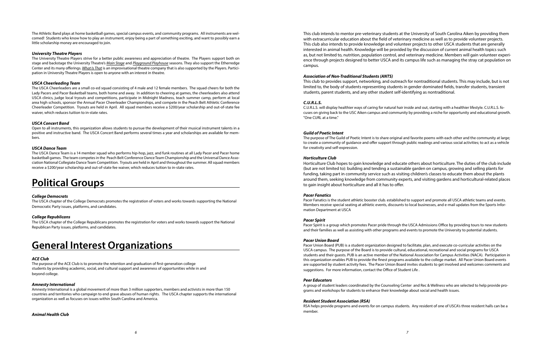The Athletic Band plays at home basketball games, special campus events, and community programs. All instruments are welcomed! Students who know how to play an instrument, enjoy being a part of something exciting, and want to possibly earn a little scholarship money are encouraged to join.

#### *University Theatre Players*

The University Theatre Players strive for a better public awareness and appreciation of theatre. The Players support both on stage and backstage the University Theatre's *Main Stage* and *Playground Playhouse* seasons. They also support the Etherredge Center and its many offerings. *What Is That* is an improvisational theatre company that is also supported by the Players. Participation in University Theatre Players is open to anyone with an interest in theatre.

#### *USCA Cheerleading Team*

The USCA Cheerleaders are a small co-ed squad consisting of 4 male and 12 female members. The squad cheers for both the Lady Pacers and Pacer Basketball teams, both home and away. In addition to cheering at games, the cheerleaders also attend USCA clinics, judge local tryouts and competitions, participate in Midnight Madness, teach summer camp, perform at local area high schools, sponsor the Annual Pacer Cheerleader Championships, and compete in the Peach Belt Athletic Conference Cheerleader Competition. Tryouts are held in April. All squad members receive a \$200/year scholarship and out-of-state fee waiver, which reduces tuition to in-state rates.

#### *USCA Concert Band*

Open to all instruments, this organization allows students to pursue the development of their musical instrument talents in a positive and instructive band. The USCA Concert Band performs several times a year and scholarships are available for members.

#### *USCA Dance Team*

The USCA Dance Team is a 14 member squad who performs hip-hop, jazz, and funk routines at all Lady Pacer and Pacer home basketball games. The team competes in the Peach Belt Conference Dance Team Championship and the Universal Dance Association National Collegiate Dance Team Competition. Tryouts are held in April and throughout the summer. All squad members receive a \$200/year scholarship and out-of-state fee waiver, which reduces tuition to in-state rates.

# **Political Groups**

#### *College Democrats*

The USCA chapter of the College Democrats promotes the registration of voters and works towards supporting the National Democratic Party issues, platforms, and candidates.

#### *College Republicans*

The USCA chapter of the College Republicans promotes the registration for voters and works towards support the National Republican Party issues, platforms, and candidates.

### **General Interest Organizations**

#### *ACE Club*

The purpose of the ACE Club is to promote the retention and graduation of first-generation college students by providing academic, social, and cultural support and awareness of opportunities while in and beyond college.

#### *Amnesty International*

Amnesty International is a global movement of more than 3 million supporters, members and activists in more than 150 countries and territories who campaign to end grave abuses of human rights. The USCA chapter supports the international organization as well as focuses on issues within South Carolina and America.

#### *Animal Health Club*

This club intends to mentor pre-veterinary students at the University of South Carolina Aiken by providing them with extracurricular education about the field of veterinary medicine as well as to provide volunteer projects. This club also intends to provide knowledge and volunteer projects to other USCA students that are generally interested in animal health. Knowledge will be provided by the discussion of current animal health topics such as, but not limited to, nutrition, population control, and veterinary medicine. Members will gain volunteer experience through projects designed to better USCA and its campus life such as managing the stray cat population on campus.

#### *Association of Non-Traditional Students (ANTS)*

This club to provides support, networking, and outreach for nontraditional students. This may include, but is not limited to, the body of students representing students in gender dominated fields, transfer students, transient students, parent students, and any other student self-identifying as nontraditional.

#### *C.U.R.L.S.*

C.U.R.L.S. will display healthier ways of caring for natural hair inside and out, starting with a healthier lifestyle. C.U.R.L.S. focuses on giving back to the USC Aiken campus and community by providing a niche for opportunity and educational growth. "One CURL at a time."

#### *Guild of Poetic Intent*

The purpose of The Guild of Poetic Intent is to share original and favorite poems with each other and the community at large; to create a community of guidance and offer support through public readings and various social activities; to act as a vehicle for creativity and self-expression.

#### *Horticulture Club*

Horticulture Club hopes to gain knowledge and educate others about horticulture. The duties of the club include (but are not limited to): building and tending a sustainable garden on campus, growing and selling plants for funding, taking part in community service such as visiting children's classes to educate them about the plants around them, seeking knowledge from community experts, and visiting gardens and horticultural-related places to gain insight about horticulture and all it has to offer.

#### *Pacer Fanatics*

Pacer Fanatics is the student athletic booster club. established to support and promote all USCA athletic teams and events. Members receive special seating at athletic events, discounts to local businesses, and e-mail updates from the Sports Information Department at USCA

#### *Pacer Spirit*

Pacer Spirit is a group which promotes Pacer pride through the USCA Admissions Office by providing tours to new students and their families as well as assisting with other programs and events to promote the University to potential students.

#### *Pacer Union Board*

Pacer Union Board (PUB) is a student organization designed to facilitate, plan, and execute co-curricular activities on the USCA campus. The purpose of the Board is to provide cultural, educational, recreational and social programs for USCA students and their guests. PUB is an active member of the National Association for Campus Activities (NACA). Participation in this organization enables PUB to provide the finest programs available to the college market. All Pacer Union Board events are supported by student activity fees. The Pacer Union Board invites students to get involved and welcomes comments and suggestions. For more information, contact the Office of Student Life .

#### *Peer Educators*

A group of student leaders coordinated by the Counseling Center and Rec & Wellness who are selected to help provide programs and workshops for students to enhance their knowledge about social and health issues.

#### *Resident Student Association (RSA)*

RSA helps provide programs and events for on campus students. Any resident of one of USCA's three resident halls can be a member.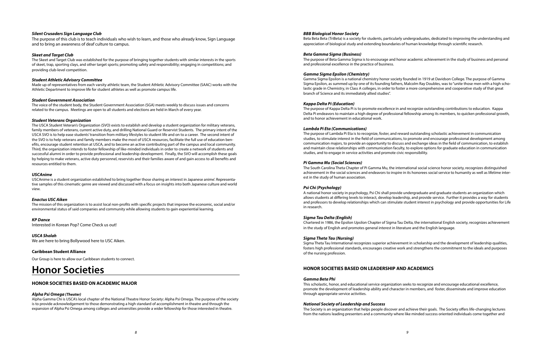#### *Silent Crusaders Sign Language Club*

The purpose of this club is to teach individuals who wish to learn, and those who already know, Sign Language and to bring an awareness of deaf culture to campus.

#### *Skeet and Target Club*

The Skeet and Target Club was established for the purpose of bringing together students with similar interests in the sports of skeet, trap, sporting clays, and other target sports; promoting safety and responsibility; engaging in competitions; and providing club-level competition.

#### *Student Athletic Advisory Committee*

Made up of representatives from each varsity athletic team, the Student Athletic Advisory Committee (SAAC) works with the Athletic Department to improve life for student athletes as well as promote campus life.

#### *Student Government Association*

The voice of the student body, the Student Government Association (SGA) meets weekly to discuss issues and concerns related to the campus. Meetings are open to all students and elections are held in March of every year.

#### *Student Veterans Organization*

The USCA Student Veteran's Organization (SVO) exists to establish and develop a student organization for military veterans, family members of veterans, current active duty, and drilling National Guard or Reservist Students. The primary intent of the USCA SVO is to help ease students' transition from military lifestyles to student life and on to a career. The second intent of the SVO is to help veterans and family members make the most of USCA resources, facilitate the full use of education benefits, encourage student retention at USCA, and to become an active contributing part of the campus and local community. Third, the organization intends to foster fellowship of like-minded individuals in order to create a network of students and successful alumni in order to provide professional and leadership development. Finally, the SVO will accomplish these goals by helping to make veterans, active duty personnel, reservists and their families aware of and gain access to all benefits and resources entitled to them.

#### *USCAnime*

USCAnime is a student organization established to bring together those sharing an interest in Japanese anime'. Representative samples of this cinematic genre are viewed and discussed with a focus on insights into both Japanese culture and world view.

#### *Enactus USC Aiken*

The mission of this organization is to assist local non-profits with specific projects that improve the economic, social and/or environmental status of said companies and community while allowing students to gain experiential learning.

*KP Dance*  Interested in Korean Pop? Come Check us out!

*USCA Sholah*  We are here to bring Bollywood here to USC Aiken.

**Caribbean Student Alliance** 

Our Group is here to allow our Caribbean students to connect.

### **Honor Societies**

#### **HONOR SOCIETIES BASED ON ACADEMIC MAJOR**

#### *Alpha Psi Omega (Theater)*

Alpha Gamma Chi is USCA's local chapter of the National Theatre Honor Society: Alpha Psi Omega. The purpose of the society is to provide acknowledgement to those demonstrating a high standard of accomplishment in theatre and through the expansion of Alpha Psi Omega among colleges and universities provide a wider fellowship for those interested in theatre.

#### *BBB Biological Honor Society*

Beta Beta Beta (TriBeta) is a society for students, particularly undergraduates, dedicated to improving the understanding and appreciation of biological study and extending boundaries of human knowledge through scientific research.

#### *Beta Gamma Sigma (Business)*

The purpose of Beta Gamma Sigma is to encourage and honor academic achievement in the study of business and personal and professional excellence in the practice of business.

#### *Gamma Sigma Epsilon (Chemistry)*

Gamma Sigma Epsilon is a national chemistry honor society founded in 1919 at Davidson College. The purpose of Gamma Sigma Epsilon, as summed up by one of its founding fathers, Malcolm Ray Doubles, was to "unite those men with a high scholastic grade in Chemistry, in Class A colleges, in order to foster a more comprehensive and cooperative study of that great branch of Science and its immediately allied studies".

#### *Kappa Delta Pi (Education)*

The purpose of Kappa Delta Pi is to promote excellence in and recognize outstanding contributions to education. Kappa Delta Pi endeavors to maintain a high degree of professional fellowship among its members, to quicken professional growth, and to honor achievement in educational work.

#### *Lambda Pi Eta (Communications)*

The purpose of Lambda Pi Eta is to recognize, foster, and reward outstanding scholastic achievement in communication studies, to stimulate interest in the field of communications, to promote and encourage professional development among communication majors, to provide an opportunity to discuss and exchange ideas in the field of communication, to establish and maintain close relationships with communication faculty, to explore options for graduate education in communication studies, and to engage in service activities and promote civic responsibility.

#### *Pi Gamma Mu (Social Sciences)*

The South Carolina Theta Chapter of Pi Gamma Mu, the international social science honor society, recognizes distinguished achievement in the social sciences and endeavors to inspire in its honorees social service to humanity as well as lifetime interest in the study of human association.

#### *Psi Chi (Psychology)*

A national honor society in psychology, Psi Chi shall provide undergraduate and graduate students an organization which allows students at differing levels to interact, develop leadership, and provide service. Further it provides a way for students and professors to develop relationships which can stimulate student interest in psychology and provide opportunities for Life in research.

#### *Sigma Tau Delta (English)*

Chartered in 1986, the Epsilon Upsilon Chapter of Sigma Tau Delta, the international English society, recognizes achievement in the study of English and promotes general interest in literature and the English language.

#### *Sigma Theta Tau (Nursing)*

Sigma Theta Tau International recognizes superior achievement in scholarship and the development of leadership qualities, fosters high professional standards, encourages creative work and strengthens the commitment to the ideals and purposes of the nursing profession.

### **HONOR SOCIETIES BASED ON LEADERSHIP AND ACADEMICS**

#### *Gamma Beta Phi*

This scholastic, honor, and educational service organization seeks to recognize and encourage educational excellence, promote the development of leadership ability and character in members, and foster, disseminate and improve education through appropriate service activities.

#### *National Society of Leadership and Success*

The Society is an organization that helps people discover and achieve their goals. The Society offers life-changing lectures from the nations leading presenters and a community where like minded success oriented individuals come together and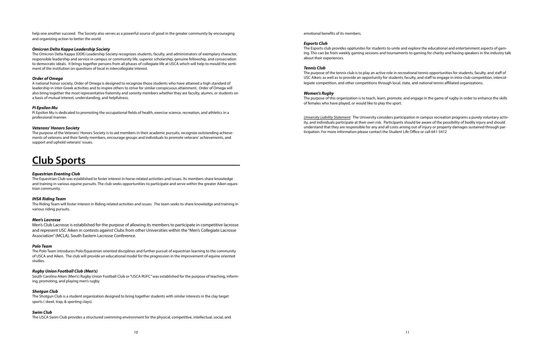help one another succeed. The Society also serves as a powerful source of good in the greater community by encouraging and organizing action to better the world.

#### *Omicron Delta Kappa Leadership Society*

The Omicron Delta Kappa (ODK) Leadership Society recognizes students, faculty, and administrators of exemplary character, responsible leadership and service in campus or community life, superior scholarship, genuine fellowship, and consecration to democratic ideals. It brings together persons from all phases of collegiate life at USCA which will help to mould the sentiment of the institution on questions of local in intercollegiate interest.

#### *Order of Omega*

A national honor society, Order of Omega is designed to recognize those students who have attained a high standard of leadership in inter-Greek activities and to inspire others to strive for similar conspicuous attainment. Order of Omega will also bring together the most representative fraternity and sorority members whether they are faculty, alumni, or students on a basis of mutual interest, understanding, and helpfulness.

#### *Pi Epsilon Mu*

Pi Epsilon Mu is dedicated to promoting the occupational fields of health, exercise science, recreation, and athletics in a professional manner.

#### *Veterans' Honors Society*

The purpose of the Veterans' Honors Society is to aid members in their academic pursuits, recognize outstanding achievements of veterans and their family members, encourage groups and individuals to promote veterans' achievements, and support and uphold veterans' issues.

# **Club Sports**

#### *Equestrian Eventing Club*

The Equestrian Club was established to foster interest in horse-related activities and issues. Its members share knowledge and training in various equine pursuits. The club seeks opportunities to participate and serve within the greater Aiken equestrian community.

#### *IHSA Riding Team*

The Riding Team will foster interest in Riding related activities and issues. The team seeks to share knowledge and training in various riding pursuits.

#### *Men's Lacrosse*

Men's Club Lacrosse is established for the purpose of allowing its members to participate in competitive lacrosse and represent USC Aiken in contests against Clubs from other Universities within the "Men's Collegiate Lacrosse Association" (MCLA), South Eastern Lacrosse Conference.

#### *Polo Team*

The Polo Team introduces Polo/Equestrian oriented disciplines and further pursuit of equestrian learning to the community of USCA and Aiken. The club will provide an educational model for the progression in the improvement of equine oriented studies.

#### *Rugby Union Football Club (Men's)*

South Carolina Aiken (Men's) Rugby Union Football Club or "USCA RUFC" was established for the purpose of teaching, informing, promoting, and playing men's rugby.

#### *Shotgun Club*

The Shotgun Club is a student organization designed to bring together students with similar interests in the clay target sports ( skeet, trap, & sporting clays).

#### *Swim Club*

The USCA Swim Club provides a structured swimming environment for the physical, competitive, intellectual, social, and

emotional benefits of its members.

#### *Esports Club*

The Esports club provides opptunites for students to unite and explore the educational and entertainment aspects of gaming. This can be from weekly gaming sessions and tournaments to gaming for charity and having speakers in the industry talk about their experiences.

#### *Tennis Club*

The purpose of the tennis club is to play an active role in recreational tennis opportunities for students, faculty, and staff of USC Aiken; as well as to provide an opportunity for students, faculty, and staff to engage in intra-club competition, intercollegiate competition, and other competitions through local, state, and national tennis affiliated organizations.

#### *Women's Rugby*

The purpose of this organization is to teach, learn, promote, and engage in the game of rugby in order to enhance the skills of females who have played, or would like to play the sport.

*University Liability Statement:* The University considers participation in campus recreation programs a purely voluntary activity, and individuals participate at their own risk. Participants should be aware of the possibility of bodily injury and should understand that they are responsible for any and all costs arising out of injury or property damages sustained through participation. For more information please contact the Student Life Office or call 641-3412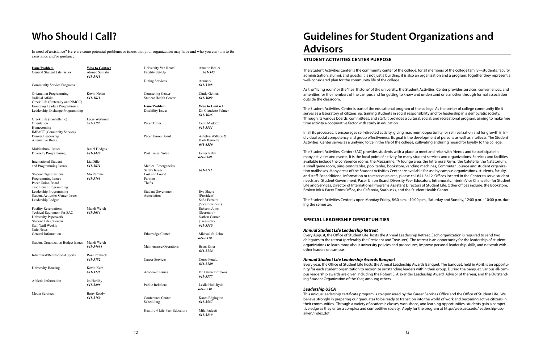| <b>Issue/Problem</b><br>General Student Life Issues                                                                                                                                                 | <b>Who to Contact</b><br>Ahmed Samaha<br>641-3411 |
|-----------------------------------------------------------------------------------------------------------------------------------------------------------------------------------------------------|---------------------------------------------------|
| <b>Community Service Programs</b>                                                                                                                                                                   |                                                   |
| Orientation Programming<br>Judicial Affairs<br>Greek Life (Fraternity and NMGC)<br><b>Emerging Leaders Programming</b><br>Leadership Exchange Programming                                           | Kevin Nolan<br>641-3611                           |
| Greek Life (Panhellenic)<br>Orientation<br>Homecoming<br>IMPACT (Comunnity Service)<br>Denver Leadership<br><b>Alternative Break</b>                                                                | Lacie Werhman<br>641-3285                         |
| Multicultural Issues<br>Diversity Programming                                                                                                                                                       | Jamel Hodges<br>641-3442                          |
| <b>International Student</b><br>and Programming Issues                                                                                                                                              | Liz Dille<br>641-3671                             |
| <b>Student Organizations</b><br>Programming Issues<br>Pacer Union Board<br><b>Traditional Programming</b><br>Leadership Programming<br><b>Student Activities Center Issues</b><br>Leadership Ledger | Mo Rammel<br>641-3766                             |
| <b>Facility Reservations</b><br>Techical Equipment for SAC<br>University Paperwork<br>Student Life Calendar<br>Stall Wall Weekly<br>Cafe News<br>General Information                                | Mandi Welch<br>641-3634                           |
| <b>Student Organization Budget Issues</b>                                                                                                                                                           | Mandi Welch<br>641-34634                          |
| <b>Intramural/Recreational Sports</b>                                                                                                                                                               | Ross Philbeck<br>641-3782                         |
| University Housing                                                                                                                                                                                  | Kevin Kerr<br>641-3246                            |
| Athletic Information                                                                                                                                                                                | im Herlihy<br>641-3406                            |
| Media Services                                                                                                                                                                                      | Barry Ready<br>641-3769                           |
|                                                                                                                                                                                                     |                                                   |

Student Government Eva Slagle Association (President)

Maintenance/Operations Brian Enter

Conference Center Karen Edgington Scheduling *641-3587*

University Van Rental Annette Beeler Facility Set-Up *641-345* 

Dining Services Aramark

*641-3388*

Counseling Center Cindy Gelinas Student Health Center *641-3609*

**Issue/Problem Who to Contact** Disability Issues Dr. Claudette Palmer

Pacer Times Cecil Maddox

Pacer Union Board Ashelyn Wallace &

Post Times Notes **James Raby** 

 *641-3626 641-3354* Karli Burnette *641-3336 641-3569* Sofia Ferreira (Vice President) Rakeem Jones (Secretary) Nathan Garner (Treasurer)

Medical Emergencies Safety Issues *641-6111* Lost and Found Parking Thefts

*641-3330*

Etherredge Center Michael St. John *641-3328 641-3254 641-3280*

Career Services Corey Feraldi

Academic Issues Dr. Daren Timmons *641-3377*

Public Relations Leslie Hull-Ryde

*641-3738*

Healthy 4 Life Peer Educators Mila Padgett

*641-3230*

In need of assistance? Here are some potential problems or issues that your organization may have and who you can turn to for assistance and/or guidance.

# **Who Should I Call? Guidelines for Student Organizations and Advisors**

### **STUDENT ACTIVITIES CENTER PURPOSE**

The Student Activities Center is the community center of the college, for all members of the college family—students, faculty, administration, alumni, and guests. It is not just a building; it is also an organization and a program. Together they represent a well-considered plan for the community life of the college.

As the "living room" or the "hearthstone" of the university, the Student Activities Center provides services, conveniences, and amenities for the members of the campus and for getting to know and understand one another through formal association outside the classroom.

The Student Activities Center is part of the educational program of the college. As the center of college community life it serves as a laboratory of citizenship, training students in social responsibility and for leadership in a democratic society. Through its various boards, committees, and staff, it provides a cultural, social, and recreational program, aiming to make free time activity a cooperative factor with study in education.

In all its processes, it encourages self-directed activity, giving maximum opportunity for self realization and for growth in individual social competency and group effectiveness. Its goal is the development of persons as well as intellects. The Student Activities Center serves as a unifying force in the life of the college, cultivating enduring regard for loyalty to the college.

The Student Activities Center (SAC) provides students with a place to meet and relax with friends and to participate in many activities and events. It is the focal point of activity for many student services and organizations. Services and facilities available include the conference rooms, the Mezzanine, TV lounge area, the Intramural Gym, the Cafeteria, the Natatorium, a small game room, ping-pong tables, pool tables, bookstore, vending machines, Commuter Lounge and student organization mailboxes. Many areas of the Student Activities Center are available for use by campus organizations, students, faculty, and staff. For additional information or to reserve an area, please call 641-3412. Offices located in the Center to serve student needs are: Student Government, Pacer Union Board, Diversity Peer Educators, Intramurals, Interim Vice Chancellor for Student Life and Services, Director of International Programs Assistant Directors of Student Life. Other offices include: the Bookstore, Broken Ink & Pacer Times Office, the Cafeteria, Starbucks, and the Student Health Center.

The Student Activities Center is open Monday-Friday, 8:30 a.m. - 10:00 p.m.; Saturday and Sunday, 12:00 p.m. - 10:00 p.m. during the semester.

### **SPECIAL LEADERSHIP OPPORTUNITIES**

#### *Annual Student Life Leadership Retreat*

Every August, the Office of Student Life hosts the Annual Leadership Retreat. Each organization is required to send two delegates to the retreat (preferably the President and Treasurer). The retreat is an opportunity for the leadership of student organizations to learn more about university policies and procedures, improve personal leadership skills, and network with other leaders on campus.

### *Annual Student Life Leadership Awards Banquet*

Every year, the Office of Student Life hosts the Annual Leadership Awards Banquet. The banquet, held in April, is an opportunity for each student organization to recognize outstanding leaders within their group. During the banquet, various all-campus leadership awards are given including the Robert E. Alexander Leadership Award, Advisor of the Year, and the Outstanding Student Organization of the Year, amoung others.

#### *Leadership USCA*

This unique leadership certificate program is co-sponsored by the Career Services Office and the Office of Student Life. We believe strongly in preparing our graduates to be ready to transition into the world of work and becoming active citizens in their communities. Through a variety of academic classes, workshops, and learning opportunities, students gain a competitive edge as they enter a complex and competitive society. Apply for the program at http://web.usca.edu/leadership-uscaiken/index.dot.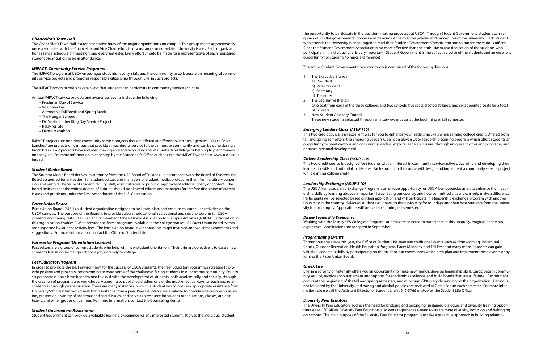#### *Chancellor's Town Hall*

The Chancellor's Town Hall is a representative body of the major organizations on campus. This group meets approximately once a semester with the Chancellor and Vice Chancellors to discuss any student-related University issues. Each organization is sent a schedule of meeting times every semester. Every effort should be made for a representative of each registered student organization to be in attendance.

#### *IMPACT: Community Service Programs*

The IMPACT program at USCA encourages students, faculty, staff, and the community to collaborate on meaningful community service projects and promotes responsible citizenship through Life in such projects.

The IMPACT program offers several ways that students can participate in community service activities.

Annual IMPACT service projects and awareness events include the following:

- Freshman Day of Service
- Volunteer Fair
- Alternative Fall Break and Spring Break
- The Hunger Banquet
- Dr. Martin Luther King Day Service Project
- Relay for Life
- Dance Marathon

IMPACT projects are one-time community service projects that are offered at different Aiken area agencies. "Quick Serve Lunches" are projects on campus that provide a meaningful service to the campus or community and can be done during a lunch break. Past projects have included making a valentine for residents at Cumberland Village or helping to plant flowers on the Quad. For more information, please stop by the Student Life Office or check out the IMPACT website at www.usca.edu/ impact.

#### *Student Media Board*

The Student Media Board derives its authority from the USC Board of Trustees. In accordance with the Board of Trustees, the Board assures editorial freedom for student editors and managers of student media, protecting them from arbitrary suspension and removal because of student, faculty, staff, administrative or public disapproval of editorial policy or content. The board believes that the widest degree of latitude should be allowed editors and managers for the free discussion of current issues and problems under the First Amendment of the U.S. Constitution.

#### *Pacer Union Board*

Pacer Union Board (PUB) is a student organization designed to facilitate, plan, and execute co-curricular activities on the USCA campus. The purpose of the Board is to provide cultural, educational, recreational and social programs for USCA students and their guests. PUB is an active member of the National Association for Campus Activities (NACA). Participation in this organization enables PUB to provide the finest programs available to the college market. All Pacer Union Board events are supported by student activity fees. The Pacer Union Board invites students to get involved and welcomes comments and suggestions. For more information, contact the Office of Student Life.

#### *Pacesetter Program (Orientation Leaders)*

Pacesetters are a group of current students who help with new student orientation. Their primary objective is to ease a new student's transition from high school, a job, or family to college.

#### *Peer Educator Program*

In order to promote the best environment for the success of USCA students, the Peer Educator Program was created to provide positive and proactive programming to meet some of the challenges facing students in our campus community. Four to six paraprofessionals have been trained to assist with the development of students, both academically and socially, through the creation of programs and workshops. According to published studies, one of the most effective ways to reach and retain students is through peer education. There are many instances in which a student would not seek appropriate assistance from University "officials" but would seek that assistance from a peer. Peer Educators are available to provide one-on-one counseling, present on a variety of academic and social issues, and serve as a resource for student organizations, classes, athletic teams, and other groups on campus. For more information, contact the Counseling Center.

#### *Student Government Association*

Student Government can provide a valuable learning experience for any interested student. It gives the individual student

the opportunity to participate in the decision- making processes at USCA. Through Student Government, students can acquire skills in the governmental process and have influence over the policies and procedures of the university. Each student who attends the University is encouraged to read their Student Government Constitution and to run for the various offices. Since the Student Government Association is no more effective than the enthusiasm and dedication of the students who participate in it, individual Life is very important. Student Government is the collective voice of the students and an excellent opportunity for students to make a difference!

The actual Student Government governing body is comprised of the following divisions:

One seat from each of the three colleges and two schools, five seats elected at-large, and six appointed seats for a total

- 1) The Executive Branch
	- a) President
	- b) Vice President
	- c) Secretary
	- d) Treasurer
- 2) The Legislative Branch of 16 seats
- 3) New Student Advisory Council
- Three new students selected through an interview process at the beginning of fall semester.

#### *Emerging Leaders Class (ASUP 110)*

This two credit course is an excellent way for you to enhance your leadership skills while earning college credit. Offered both fall and spring semesters, the Emerging Leaders Class is an eleven week leadership training program which offers students an opportunity to meet campus and community leaders, explore leadership issues through unique activities and programs, and enhance personal development.

#### *Citizen Leadership Class (ASUP 210)*

This two-credit course is designed for students with an interest in community service/active citizenship and developing their leadership skills and potential in this area. Each student in the course will design and implement a community service project while earning college credit.

#### *Leadership Exchange (ASUP 310)*

The USC Aiken Leadership Exchange Program is an unique opportunity for USC Aiken upperclassmen to enhance their leadership skills by learning about an important issue facing our country and how committed citizens can help make a difference. Participants will be selected based on their application and will participate in a leadership exchange program with another university in the country. Selected students will travel to that university for four days and then host students from the university to our campus. Applications will be available during fall semester.

#### *Disney Leadership Experience*

Working with the Disney YES Collegiate Program, students are selected to participate in this uniquely, magical leadership experience. Applications are accepted in September.

#### *Programming Events*

Throughout the academic year, the Office of Student Life oversees traditional events such as Homecoming, Intramural Sports, Outdoor Recreation, Health Education Programs, Pacer Madness, and Fall Fest and many more. Students can gain valuable leadership skills by participating on the student-run committees which help plan and implement these events or by joining the Pacer Union Board.

#### *Greek Life*

Life in a sorority or fraternity offers you an opportunity to make new friends, develop leadership skills, participate in community service, receive encouragement and support for academic excellence, and build bonds that last a lifetime. Recruitment occurs at the beginning of the fall and spring semesters, and minimum GPAs vary depending on the organization. Hazing is not tolerated by the University, and hazing and alcohol policies are reviewed at Greek Forum each semester. For more information, please call the Assistant Director of Student Life at 641-3766 or stop by the Student Life Office.

#### *Diversity Peer Ecuators*

The Diversity Peer Educators address the need for bridging and belonging, sustained dialogue, and diversity training opportunities at USC Aiken. Diversity Peer Educators also work together as a team to create more diversity, inclusion and belonging on campus. The main purpose of the Diversity Peer Educator program is to take a proactive approach in building relation-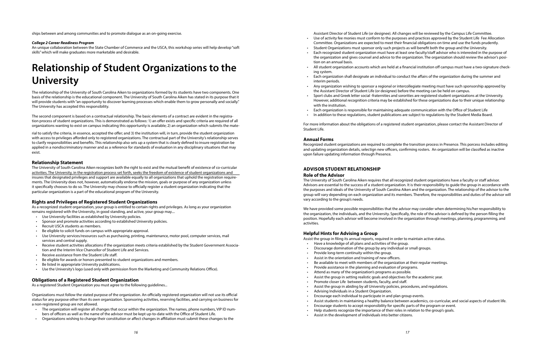rial to satisfy the criteria, in essence, accepted the offer; and 3) the institution will, in turn, provide the student organization with access to privileges afforded only to registered organizations. The contractual part of the University's relationship serves to clarify responsibilities and benefits. This relationship also sets up a system that is clearly defined to insure registration be applied in a nondiscriminatory manner and as a reference for standards of evaluation in any disciplinary situations that may exist.

#### **Relationship Statement**

The University of South Carolina Aiken recognizes both the right to exist and the mutual benefit of existence of co-curricular activities. The University, in the registration process set forth, seeks the freedom of existence of student organizations and insures that designated privileges and support are available equally to all organizations that uphold the registration requirements. The University does not, however, automatically endorse the mission, goals or purpose of any organization unless it specifically chooses to do so. The University may choose to officially register a student organization indicating that the particular organization is a part of the educational program of the University.

#### **Rights and Privileges of Registered Student Organizations**

As a recognized student organization, your group is entitled to certain rights and privileges. As long as your organization remains registered with the University, in good standing, and active, your group may....

- Use University facilities as established by University policies.
- Sponsor and promote activities according to established University policies.
- Recruit USCA students as members.
- Be eligible to solicit funds on campus with appropriate approval.
- Use University services/resources such as purchasing, printing, maintenance, motor pool, computer services, mail services and central supply.
- Receive student activities allocations if the organization meets criteria established by the Student Government Association and the Interim Vice Chancellor of Student Life and Services.
- Receive assistance from the Student Life staff.
- Be eligible for awards or honors presented to student organizations and members.
- Be listed in appropriate University publications.
- Use the University's logo (used only with permission from the Marketing and Community Relations Office).

#### **Obligations of a Registered Student Organization**

As a registered Student Organization you must agree to the following guidelines...

Organizations must follow the stated purpose of the organization. An officially registered organization will not use its official status for any purpose other than its own organization. Sponsoring activities, reserving facilities, and carrying on business for a non-registered group are not allowed.

- The organization will register all changes that occur within the organization. The names, phone numbers, VIP ID numbers of officers as well as the name of the advisor must be kept up-to-date with the Office of Student Life.
- Organizations wishing to change their constitution or affect changes in affiliation must submit these changes to the

ships between and among communities and to promote dialogue as an on-going exercise.

#### *College 2 Career Readiness Program*

An unique collaboration between the State Chamber of Commerce and the USCA, this workshop series will help develop "soft skills" which will make graduates more marketable and desirable.

# **Relationship of Student Organizations to the University**

The relationship of the University of South Carolina Aiken to organizations formed by its students have two components. One basis of the relationship is the educational component. The University of South Carolina Aiken has stated in its purpose that it will provide students with "an opportunity to discover learning processes which enable them to grow personally and socially." The University has accepted this responsibility.

The second component is based on a contractual relationship. The basic elements of a contract are evident in the registration process of student organizations. This is demonstrated as follows: 1) an offer exists and specific criteria are required of all organizations wanting to exist on campus indicating this opportunity is available; 2) an organization which submits the mate-

Assistant Director of Student Life (or designee). All changes will be reviewed by the Campus Life Committee. • Use of activity fee monies must conform to the purposes and practices approved by the Student Life Fee Allocation Committee. Organizations are expected to meet their financial obligations on time and use the funds prudently. • Student Organizations must sponsor only such projects as will benefit both the group and the University. • Each recognized student organization must have at least one faculty/staff advisor who is interested in the purpose of

• All student organization accounts which are held at a financial institution off campus must have a two-signature check-

• Each organization shall designate an individual to conduct the affairs of the organization during the summer and

- 
- the organization and gives counsel and advice to the organization. The organization should review the advisor's position on an annual basis.
- ing system.
- interim periods.
- the Assistant Director of Student Life (or designee) before the meeting can be held on campus.
- with the institution.
- 
- 

• Any organization wishing to sponsor a regional or intercollegiate meeting must have such sponsorship approved by

• Sport clubs and Greek letter social -fraternities and sororities are registered student organizations at the University. However, additional recognition criteria may be established for these organizations due to their unique relationship

• Each organization is responsible for maintaining adequate communication with the Office of Student Life • In addition to these regulations, student publications are subject to regulations by the Student Media Board.

For more information about the obligations of a registered student organization, please contact the Assistant Director of Student Life.

#### **Annual Forms**

Recognized student organizations are required to complete the transition process in Presence. This porcess includes editing and updating organization details, selectign new officers, confirming rosters. An organization will be classified as inactive upon failure updating information through Presence.

#### **ADVISOR STUDENT RELATIONSHIP Role of the Advisor**

The University of South Carolina Aiken requires that all recognized student organizations have a faculty or staff advisor. Advisors are essential to the success of a student organization. It is their responsibility to guide the group in accordance with the purposes and ideals of the University of South Carolina Aiken and the organization. The relationship of the advisor to the group will vary depending on each organization and its members. Therefore, the responsibilities and duties of the advisor will vary according to the group's needs.

We have provided some possible responsibilities that the advisor may consider when determining his/her responsibility to the organization, the individuals, and the University. Specifically, the role of the advisor is defined by the person filling the position. Hopefully each advisor will become involved in the organization through meetings, planning, programming, and activities.

#### **Helpful Hints for Advising a Group**

• Be available to meet with members of the organization at their regular meetings.

- Assist the group in filing its annual reports, required in order to maintain active status.
- Have a knowledge of all plans and activities of the group.
- Discourage domination of the group by any individual or small groups.
- Provide long-term continuity within the group.
- Assist in the orientation and training of new officers.
- Provide assistance in the planning and evaluation of programs.
- Attend as many of the organization's programs as possible.
- Assist the group in setting realistic goals and objectives for the academic year.
- Promote closer Life between students, faculty, and staff.
- Assist the group in abiding by all University policies, procedures, and regulations.
- Advising Individuals in a Student Organization.
- Encourage each individual to participate in and plan group events.
- 
- Encourage students to accept responsibility for specific parts of the program or event.
- Help students recognize the importance of their roles in relation to the group's goals.
- Assist in the development of individuals into better citizens.

• Assist students in maintaining a healthy balance between academics, co-curricular, and social aspects of student life.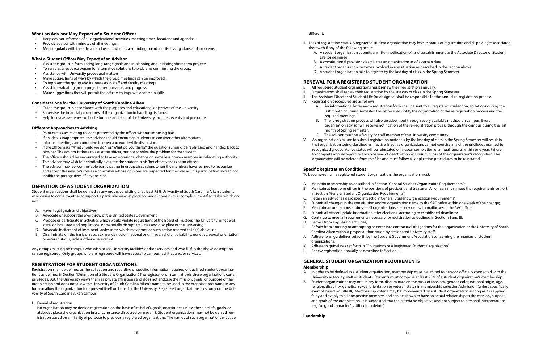#### **What an Advisor May Expect of a Student Officer**

- Keep advisor informed of all organizational activities, meeting times, locations and agendas.
- Provide advisor with minutes of all meetings.
- Meet regularly with the advisor and use him/her as a sounding board for discussing plans and problems.

#### **What a Student Officer May Expect of an Advisor**

- Assist the group in formulating long-range goals and in planning and initiating short-term projects.
- To serve as a resource person for alternative solutions to problems confronting the group.
- Assistance with University procedural matters.
- Make suggestions of ways by which the group meetings can be improved.
- To represent the group and its interests in staff and faculty meetings.
- Assist in evaluating group projects, performance, and progress.
- Make suggestions that will permit the officers to improve leadership skills.

#### **Considerations for the University of South Carolina Aiken**

- Guide the group in accordance with the purposes and educational objectives of the University.
- Supervise the financial procedures of the organization in handling its funds.
- Help increase awareness of both students and staff of the University facilities, events and personnel.

#### **Different Approaches to Advising**

- Point out issues relating to ideas presented by the officer without imposing bias.
- If an idea is inappropriate, the advisor should encourage students to consider other alternatives.
- Informal meetings are conducive to open and worthwhile discussion.
- If the officer asks "What should we do?" or "What do you think?" the questions should be rephrased and handed back to him/her. The advisor is there to assist the officer, but not to solve the problem for the student.
- The officers should be encouraged to take an occasional chance on some less proven member in delegating authority.
- The advisor may wish to periodically evaluate the student in his/her effectiveness as an officer.
- The advisor may feel comfortable participating in group discussions when the members have learned to recognize and accept the advisor's role as a co-worker whose opinions are respected for their value. This participation should not inhibit the prerogatives of anyone else.

#### **DEFINITION OF A STUDENT ORGANIZATION**

Student organizations shall be defined as any group, consisting of at least 75% University of South Carolina Aiken students who desire to come together to support a particular view, explore common interests or accomplish identified tasks, which do not:

- A. Have illegal goals and objectives;
- B. Advocate or support the overthrow of the United States Government;
- C. Propose or participate in activities which would violate regulations of the Board of Trustees, the University, or federal, state, or local laws and regulations, or materially disrupt activities and discipline of the University;
- D. Advocate incitement of imminent lawlessness which may produce such action referred to in (c) above; or
- E. Discriminate on the basis of race, sex, gender, color, national origin, age, religion, disability, genetics, sexual orientation or veteran status, unless otherwise exempt.

Any groups existing on campus who wish to use University facilities and/or services and who fulfills the above description can be registered. Only groups who are registered will have access to campus facilities and/or services.

#### **REGISTRATION FOR STUDENT ORGANIZATIONS**

Registration shall be defined as the collection and recording of specific information required of qualified student organizations as defined in Section "Definition of a Student Organization". The registration, in turn, affords these organizations certain privileges. But, the University views them as private affiliations and does not endorse the mission, goals, or purpose of the organization and does not allow the University of South Carolina Aiken's name to be used in the organization's name in any form or allow the organization to represent itself on behalf of the University. Registered organizations exist only on the University of South Carolina Aiken campus.

I. Denial of registration.

 No organization may be denied registration on the basis of its beliefs, goals, or attitudes unless these beliefs, goals, or attitudes place the organization in a circumstance discussed on page 18. Student organizations may not be denied registration based on similarity of purpose to previously registered organizations. The names of such organizations must be

#### different.

II. Loss of registration status. A registered student organization may lose its status of registration and all privileges associated

A. A student organization submits a written notification of its disestablishment to the Associate Director of Student

- therewith if any of the following occur:
	- Life (or designee).
	- B. A constitutional provision deactivates an organization as of a certain date.
- C. A student organization becomes involved in any situation as described in the section above.
- D. A student organization fails to register by the last day of class in the Spring Semester.

### **RENEWAL FOR A REGISTERED STUDENT ORGANIZATION**

III. The Assistant Director of Student Life (or designee) shall be responsible for the annual re-registration process.

A. An informational letter and a registration form shall be sent to all registered student organizations during the last month of Spring semester. This letter shall notify the organization of the re-registration process and the

B. The re-registration process will also be advertised through every available method on campus. Every organization advisor will receive notification of the re-registration process through the campus during the last

- I. All registered student organizations must renew their registration annually.
- II. Organizations shall renew their registration by the last day of class in the Spring Semester
- 
- IV. Registration procedures are as follows:
	- required meetings.
	- month of Spring semester.
	- C. The advisor must be a faculty or staff member of the University community.
- organization will be deleted from the files and must follow all application procedures to be reinstated.

V. An organization's failure to submit registration materials by the last day of class in the Spring Semester will result in that organization being classified as inactive. Inactive organizations cannot exercise any of the privileges granted to recognized groups. Active status will be reinstated only upon completion of annual reports within one year. Failure to complete annual reports within one year of deactivation will result in loss of the organization's recognition. The

#### **Specific Registration Conditions**

To become/remain a registered student organization, the organization must:

B. Maintain at least one officer in the positions of president and treasurer. All officers must meet the requirements set forth

D. Submit all changes in the constitution and/or organization name to the SAC office within one week of the change;

- A. Maintain membership as described in Section "General Student Organization Requirements";
- in Section "General Student Organization Requirements";
- C. Retain an advisor as described in Section "General Student Organization Requirements";
- 
- E. Maintain an on-campus address—all organizations are provided with mailboxes in the SAC office;
- F. Submit all officer update information after elections according to established deadlines:
- G. Continue to meet all requirements necessary for registration as outlined in Sections I and III;
- H. Refrain from any hazing activities;
- Carolina Aiken without proper authorization by designated University staff;
- Adhere to all quidelines set forth by the Student Government Association concerning the finances of student organizations;
- K. Adhere to guidelines set forth in "Obligations of a Registered Student Organization"
- L. Renew registration annually as described in Section III.

I. Refrain from entering or attempting to enter into contractual obligations for the organization or the University of South

#### **GENERAL STUDENT ORGANIZATION REQUIREMENTS Membership**

A. In order to be defined as a student organization, membership must be limited to persons officially connected with the University as faculty, staff or students. Students must comprise at least 75% of a student organization's membership. B. Student organizations may not, in any form, discriminate on the basis of race, sex, gender, color, national origin, age, religion, disability, genetics, sexual orientation or veteran status in membership selection/admission (unless specifically exempt based on Title IX). Membership criteria may be implemented by a student organization as long as it is applied fairly and evenly to all prospective members and can be shown to have an actual relationship to the mission, purpose and goals of the organization. It is suggested that the criteria be objective and not subject to personal interpretations

- 
- 
- (e.g. "of good character" is difficult to define).

**Leadership**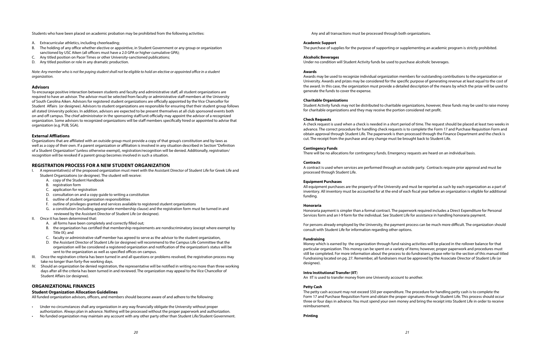Students who have been placed on academic probation may be prohibited from the following activities:

- Extracurricular athletics, including cheerleading;
- B. The holding of any office whether elective or appointive, in Student Government or any group or organization sanctioned by USC Aiken (all officers must have a 2.0 GPA or higher cumulative GPA);
- C. Any titled position on Pacer Times or other University-sanctioned publications;
- D. Any titled position or role in any dramatic production.

*Note: Any member who is not fee paying student shall not be eligible to hold an elective or appointed office in a student organization.* 

#### **Advisors**

To encourage positive interaction between students and faculty and administrative staff, all student organizations are required to have an advisor. The advisor must be selected from faculty or administrative staff members at the University of South Carolina Aiken. Advisors for registered student organizations are officially appointed by the Vice Chancellor for Student Affairs (or designee). Advisors to student organizations are responsible for ensuring that their student group follows all stated University policies. In addition, advisors are expected to be present themselves at all club sponsored events both on and off campus. The chief administrator in the sponsoring staff/unit officially may appoint the advisor of a recognized organization. Some advisors to recognized organizations will be staff members specifically hired or appointed to advise that organization (e.g. PUB, SGA).

#### **External Affliations**

Organizations that are affiliated with an outside group must provide a copy of that group's constitution and by-laws as well as a copy of their own. If a parent organization or affiliation is involved in any situation described in Section "Definition of a Student Organization" (unless otherwise exempt), registration/recognition will be denied. Additionally, registration/ recognition will be revoked if a parent group becomes involved in such a situation.

- A representative(s) of the proposed organization must meet with the Assistant Director of Student Life for Greek Life and Student Organizations (or designee). The student will receive:
	- A. copy of the Student Handbook
	- B. registration form
	- C. application for registration
	- D. consultation on and a copy guide to writing a constitution
	- E. outline of student organization responsibilities
	- F. outline of privileges granted and services available to registered student organizations
	- G. a constitution (including appropriate membership clause) and the registration form must be turned in and reviewed by the Assistant Director of Student Life (or designee).
- Once it has been determined that:
	- A. all forms have been completely and correctly filled out;
	- B. the organization has certified that membership requirements are nondiscriminatory (except where exempt by Title IX); and
	- C. faculty or administrative staff member has agreed to serve as the advisor to the student organization,
	- D. the Assistant Director of Student Life (or designee) will recommend to the Campus Life Committee that the organization will be considered a registered organization and notification of the organization's status will be sent to the organization as well as specified offices on campus.
- III. Once the registration criteria has been turned in and all questions or problems resolved, the registration process may take no longer than forty-five working days.
- Should an organization be denied registration, the representative will be notified in writing no more than three working days after all the criteria has been turned in and reviewed. The organization may appeal to the Vice Chancellor of Student Affairs (or designee).

#### **REGISTRATION PROCESS FOR A NEW STUDENT ORGANIZATION**

#### **ORGANIZATIONAL FINANCES**

#### **Student Organization Allocation Guidelines**

All funded organization advisors, officers, and members should become aware of and adhere to the following:

- Under no circumstances shall any organization in any way financially obligate the University without proper authorization. Always plan in advance. Nothing will be processed without the proper paperwork and authorization.
- No funded organization may maintain any account with any other party other than Student Life/Student Government.

#### **Academic Support**

The purchase of supplies for the purpose of supporting or supplementing an academic program is strictly prohibited.

#### **Alcoholic Beverages**

Under no condition will Student Activity funds be used to purchase alcoholic beverages.

#### **Awards**

Awards may be used to recognize individual organization members for outstanding contributions to the organization or University. Awards and prizes may be considered for the specific purpose of generating revenue at least equal to the cost of the award. In this case, the organization must provide a detailed description of the means by which the prize will be used to generate the funds to cover the expense.

#### **Charitable Organizations**

Student Activity funds may not be distributed to charitable organizations, however, these funds may be used to raise money for charitable organizations and they may receive the portion considered net profit.

#### **Check Requests**

A check request is used when a check is needed in a short period of time. The request should be placed at least two weeks in advance. The correct procedure for handling check requests is to complete the Form 17 and Purchase Requisition Form and obtain approval through Student Life. The paperwork is then processed through the Finance Department and the check is cut. The receipt from the purchase and any change must be brought back to Student Life.

#### **Contingency Funds**

There will be no allocations for contingency funds. Emergency requests are heard on an individual basis.

#### **Contracts**

A contract is used when services are performed through an outside party. Contracts require prior approval and must be processed through Student Life.

#### **Equipment Purchases**

All equipment purchases are the property of the University and must be reported as such by each organization as a part of inventory. All inventory must be accounted for at the end of each fiscal year before an organization is eligible for additional funding.

#### **Honoraria**

Honoraria payment is simpler than a formal contract. The paperwork required includes a Direct Expenditure for Personal Services form and an I-9 form for the individual. See Student Life for assistance in handling honoraria payment.

For persons already employed by the University, the payment process can be much more difficult. The organization should consult with Student Life for information regarding other options.

#### **Fundraising**

Money which is earned by the organization through fund raising activities will be placed in the rollover balance for that particular organization. This money can be spent on a variety of items; however, proper paperwork and procedures must still be completed. For more information about the process to do fundraisers, please refer to the section of this manual titled Fundraising located on pg. 27. Remember, all fundraisers must be approved by the Associate Director of Student Life (or designee).

#### **Intra Institutional Transfer (IIT**)

An IIT is used to transfer money from one University account to another.

#### **Petty Cash**

The petty cash account may not exceed \$50 per expenditure. The procedure for handling petty cash is to complete the Form 17 and Purchase Requisition Form and obtain the proper signatures through Student Life. This process should occur three or four days in advance. You must spend your own money and bring the receipt into Student Life in order to receive reimbursement.

**Printing**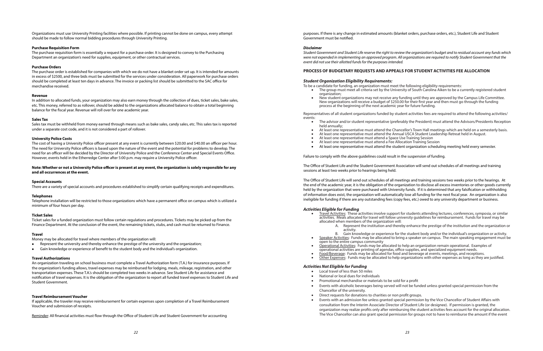Organizations must use University Printing facilities where possible. If printing cannot be done on campus, every attempt should be made to follow normal bidding procedures through University Printing.

#### **Purchase Requisition Form**

The purchase requisition form is essentially a request for a purchase order. It is designed to convey to the Purchasing Department an organization's need for supplies, equipment, or other contractual services.

#### **Purchase Orders**

The purchase order is established for companies with which we do not have a blanket order set up. It is intended for amounts in excess of \$2500, and three bids must be submitted for the services under consideration. All paperwork for purchase orders should be completed at least ten days in advance. The invoice or packing list should be submitted to the SAC office for merchandise received.

#### **Revenue**

In addition to allocated funds, your organization may also earn money through the collection of dues, ticket sales, bake sales, etc. This money, referred to as rollover, should be added to the organizations allocated balance to obtain a total beginning balance for the fiscal year. Revenue will roll over for one academic year.

#### **Sales Tax**

Sales tax must be withheld from money earned through means such as bake sales, candy sales, etc. This sales tax is reported under a separate cost code, and it is not considered a part of rollover.

#### **University Police Costs**

The cost of having a University Police officer present at any event is currently between \$20.00 and \$40.00 an officer per hour. The need for University Police officers is based upon the nature of the event and the potential for problems to develop. The need for an officer will be decided by the Director of University Police and the Conference Center and Special Events Office. However, events held in the Etherredge Center after 5:00 p.m. may require a University Police officer.

#### **Note: Whether or not a University Police officer is present at any event, the organization is solely responsible for any and all occurrences at the event.**

#### **Special Accounts**

There are a variety of special accounts and procedures established to simplify certain qualifying receipts and expenditures.

#### **Telephones**

Telephone installation will be restricted to those organizations which have a permanent office on campus which is utilized a minimum of four hours per day.

#### **Ticket Sales**

New student organizations may not receive any funding until they are approved by the Campus Life Committee. New organizations will receive a budget of \$250.00 for their first year and then must go through the funding

The advisor and/or student representative (preferably the President) must attend the Advisors/Presidents Reception

At least one representative must attend the Chancellor's Town Hall meetings which are held on a semesterly basis. At least one representative must attend the Annual USCA Student Leadership Retreat held in August.

At least one representative must attend the student organization scheduling meeting held every semester.

Ticket sales for a funded organization must follow certain regulations and procedures. Tickets may be picked up from the Finance Department. At the conclusion of the event, the remaining tickets, stubs, and cash must be returned to Finance.

- held annually;
- 
- 
- At least one representative must attend a Space Use Training Session At least one representative must attend a Fee Allocation Training Session
- 

#### **Travel**

Money may be allocated for travel where members of the organization will:

- Represent the university and thereby enhance the prestige of the university and the organization;
- Gain knowledge or experience of benefit to the student body and the individual's organization.

#### **Travel Authorizations**

An organization traveling on school business must complete a Travel Authorization form (T.A.) for insurance purposes. If the organization's funding allows, travel expenses may be reimbursed for lodging, meals, mileage, registration, and other transportation expenses. These T.A.'s should be completed two weeks in advance. See Student Life for assistance and notification of travel expenses. It is the obligation of the organization to report all funded travel expenses to Student Life and Student Government.

**Activities Eligible for Funding**<br>• Travel Activities: These activities involve support for students attending lectures, conferences, symposia, or similar activities. Meals allocated for travel will follow university guidelines for reimbursement. Funds for travel may be

#### **Travel Reimbursement Voucher**

If applicable, the traveler may receive reimbursement for certain expenses upon completion of a Travel Reimbursement Voucher and submission of receipts.

Reminder: All financial activities must flow through the Office of Student LIfe and Student Government for accounting

#### purposes. If there is any change in estimated amounts (blanket orders, purchase orders, etc.), Student Life and Student

The group must meet all criteria set by the University of South Carolina Aiken to be a currently registered student

Government must be notified.

#### *Disclaimer*

*Student Government and Student Life reserve the right to review the organization's budget and to residual account any funds which were not expended in implementing an approved program. All organizations are required to notify Student Government that the event did not use their allotted funds for the purposes intended.*

Events with an admission fee unless granted special permission by the Vice Chancellor of Student Affairs with consultation from the Interim Associate Director of Student Life (or designee). If permission is granted, the organization may realize profits only after reimbursing the student activities fees account for the original allocation. The Vice Chancellor can also grant special permission for groups not to have to reimburse the amount if the event

### **PROCESS OF BUDGETARY REQUESTS AND APPEALS FOR STUDENT ACTIVITIES FEE ALLOCATION**

#### *Student Organization Eligibility Requirements:*

- To be a candidate for funding, an organization must meet the following eligibility requirements: organization;
	- process at the beginning of the next academic year for future funding.

Representatives of all student organizations funded by student activities fees are required to attend the following activities/ events:

Failure to comply with the above guidelines could result in the suspension of funding.

The Office of Student Life and the Student Government Association will send out schedules of all meetings and training sessions at least two weeks prior to hearings being held.

The Office of Student Life will send out schedules of all meetings and training sessions two weeks prior to the hearings. At the end of the academic year, it is the obligation of the organization to disclose all excess inventories or other goods currently held by the organization that were purchased with University funds. If it is determined that any falsification or withholding of information does exist, the organization will automatically lose all funding for the next fiscal year. An organization is also ineligible for funding if there are any outstanding fees (copy fees, etc.) owed to any university department or business.

A. Represent the institution and thereby enhance the prestige of the institution and the organization or

Gain knowledge or experience for the student body and/or the individual's organization or activity. Speaker Activities: Funds may be allocated to bring a speaker on campus. The main speaking engagement must be

Operational Activities: Funds may be allocated to help an organization remain operational. Examples of

- allocated when members of the organization will:
	-
	- activity.
- open to the entire campus community
- 
- 
- 

operational activities are printing of agendas, office supplies, and specialized equipment needs.

Food/Beverage: Funds may be allocated for food and beverage at events, meetings, and receptions.

Other Expenses: Funds may be allocated to help organizations with other expenses as long as they are justified.

Events with alcoholic beverages being served will not be funded unless granted special permission from the

#### *Activities Not Eligible for Funding*

- Local travel of less than 50 miles
- National or local dues for individuals
- Promotional merchandise or materials to be sold for a profit
- Chancellor of the university. Direct requests for donations to charities or non profit groups.
-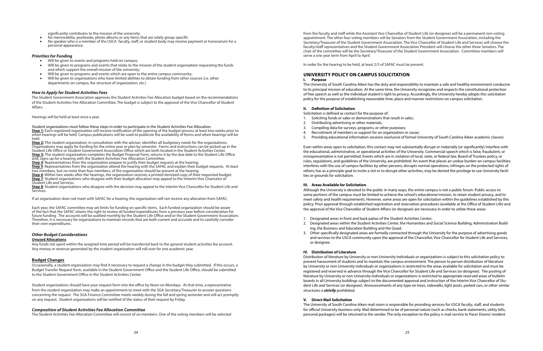significantly contributes to the mission of the university.

- No memorabilia, yearbooks, photo albums or any items that are solely group-specific
- No speaker who is a member of the USCA faculty, staff, or student body may receive payment or honorarium for a personal appearance.

#### *Priorities for Funding*

- Will be given to events and programs held on campus;
- Will be given to programs and events that relate to the mission of the student organization requesting the funds and which support the overall mission of the university;
- Will be given to programs and events which are open to the entire campus community;
- Will be given to organizations who have limited abilities to obtain funding from other sources (i.e. other departments on campus, fee structure of organization, etc.)

#### *How to Apply for Student Activities Fees*

The Student Government Association approves the Student Activities Fee Allocation budget based on the recommendations of the Student Activities Fee Allocation Committee. The budget is subject to the approval of the Vice Chancellor of Student Affairs.

Hearings will be held at least once a year.

Student organizations must follow these steps in order to participate in the Student Activities Fee Allocation. **Step 1:** Each registered organization will receive notification of the opening of the budget process at least two weeks prior to when hearings will be held. Campus publications will be used to publicize the availability of forms and when hearings will be held.

**Step 2:** The student organization, in consultation with the adviser, identifies all budgetary needs for the organizations. Organizations may apply for funding for the entire year or plan by semester. Forms and instructions can be picked up in the Student Life Office or Student Government Association Office which are both located in the Student Activities Center. **Step 3:** The student organization completes the Budget Proposal Form, returns it by the due date to the Student Life Office and, signs up for a hearing with the Student Activities Fee Allocation Committee.

**Step 4**: Representatives from the organization prepare to justify their budget requests at the hearing.

**Step 5**: Representatives from the organization attend the hearing with the SAFAC and explain their budget requests. At least two members, but no more than four members, of the organization should be present at the hearing.

**Step 6**: Within two weeks after the hearings, the organization receives a printed itemized copy of their requested budget. **Step 7**: Student organizations who disagree with their budget allocation may appeal to the Imterim Vice Chancelor of Student Life and Services.

**Step 8**: Student organizations who disagree with the decision may appeal to the Interim Vice Chancellor for Student Life and Services.

If an organization does not meet with SAFAC for a hearing, the organization will not receive any allocation from SAFAC.

Each year, the SAFAC committee may set limits for funding on specific items. Each funded organization should be aware of the fact that the SAFAC retains the right to review all funded expenditures from a previous year before consideration for future funding. The accounts will be audited monthly by the Student Life Office and/or the Student Government Association. Therefore, it is necessary for organizations to maintain records that are both current and accurate and to carefully consider their own expenditures.

#### *Other Budget Considerations*

#### **Unused Allocations**

Any funds not spent within the assigned time period will be transferred back to the general student activities fee account. Any money or revenue generated by the student organization will roll over for one academic year.

#### **Budget Changes**

Occasionally, a student organization may find it necessary to request a change in the budget they submitted. If this occurs, a Budget Transfer Request form, available in the Student Government Office and the Student Life Office, should be submitted to the Student Government Office in the Student Activities Center.

Student organizations should have your request form into the office by Noon on Mondays. At that time, a representative from the student organization may make an appointment to meet with the SGA Secretary/Treasurer to answer questions concerning the request. The SGA Finance Committee meets weekly during the fall and spring semester and will act promptly on any request. Student organizations will be notified of the status of their request by Friday.

#### *Composition of Student Activities Fee Allocation Committee*

The Student Activities Fee Allocation Committee will consist of six members. One of the voting members will be selected

from the faculty and staff while the Assistant Vice Chancellor of Student Life (or designee) will be a permanent non-voting appointment. The other four voting members will be Senators from the Student Government Association, including the Secretary/Treasurer of the Student Government Association. The Vice Chancellor of Student Life and Services will choose the faculty/staff representatives and the Student Government Association President will choose the other three Senators. The chair of the committee will be the Secretary/Treasurer of the Student Government Association. Committee members will serve a one year term from April to April.

In order for the hearing to be held, at least 2/3 of SAFAC must be present.

#### **UNIVERSITY POLICY ON CAMPUS SOLICITATION I. Purpose**

The University of South Carolina Aiken has the duty and responsibility to maintain a safe and healthy environment conducive to its principal mission of education. At the same time, the University recognizes and respects the constitutional protection of free speech as well as the individual student's right to privacy. Accordingly, the University hereby adopts this solicitation policy for the purpose of establishing reasonable time, place and manner restrictions on campus solicitation.

#### **II. Definition of Solicitation**

Solicitation is defined as contact for the purpose of:

- 1. Soliciting funds or sales or demonstrations that result in sales;
- 2. Distributing advertising or other materials;
- 3. Compiling data for surveys, programs, or other purposes;
- 4. Recruitment of members or support for an organization or cause;
- 

5. Providing educational information sessions (exclusive of formal University of South Carolina Aiken academic classes)

Even within areas open to solicitation, this contact may not substantially disrupt or materially (or significantly) interfere with the educational, administrative, or operational activities of the University. Commercial speech which is false, fraudulent, or misrepresentative is not permitted. Events which are in violation of local, state, or federal law, Board of Trustees policy, or rules, regulations, and guidelines of the University, are prohibited. An event that places an undue burden on campus facilities; interferes with the use of campus facilities by other persons; disrupts normal operations; infringes on the protected rights of others; has as a principle goal to incite a riot or to disrupt other activities, may be denied the privilege to use University facilities or grounds for solicitation.

#### **III. Areas Available for Solicitation**

Although the University is devoted to the public in many ways, the entire campus is not a public forum. Public access to some portions of the campus must be limited to achieve the school's educational mission, to retain student privacy, and to meet safety and health requirements. However, some areas are open for solicitation within the guidelines established by this policy. Prior approval through established registration and reservation procedures (available at the Office of Student Life) and the approval of the Vice Chancellor of Student Affairs (or designee) are necessary in order to utilize these areas:

2. Designated areas within the Student Activities Center, the Humanities and Social Science Building, Administration Build-

- 1. Designated areas in front and back patios of the Student Activities Center;
- ing, the Business and Education Building and the Quad;
- or designee.

3. Other specifically designated areas are formally contracted through the University for the purpose of advertising goods and services to the USCA community upon the approval of the Chancellor, Vice Chancellor for Student Life and Services,

#### **IV. Distribution of Literature**

Distribution of literature by University or non-University individuals or organizations is subject to this solicitation policy to prevent harassment of students and to maintain the campus environment. The person to person distribution of literature by University or non-University individuals or organizations is restricted to the areas available for solicitation and must be registered and reserved in advance through the Vice Chancellor for Student Life and Services (or designee). The posting of literature by University or non-University individuals or organizations is restricted to appropriate reserved areas of bulletin boards in all University buildings subject to the documented approval and instruction of the Interim Vice Chancellor of Student Life and Services (or designee). Announcements of any type on trees, sidewalks, light posts, parked cars, or other similar structures is *strictly* prohibited.

#### **V. Direct Mail Solicitation**

The University of South Carolina Aiken mail room is responsible for providing services for USCA faculty, staff, and students for official University business only. Mail determined to be of personal nature (such as checks, bank statements, utility bills, personal packages) will be returned to the sender. The only exception to the policy is mail service to Pacer Downs' resident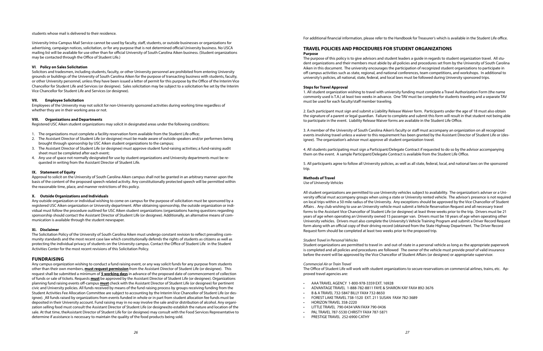#### students whose mail is delivered to their residence.

University Intra-Campus Mail Service cannot be used by faculty, staff, students, or outside businesses or organizations for advertising, campaign notices, solicitation, or for any purpose that is not determined official University business. No USCA mailing list will be available for use other than for official University of South Carolina Aiken business. (Student organizations may be contacted through the Office of Student Life.)

#### **VI**. **Policy on Sales Solicitation**

Solicitors and tradesmen, including students, faculty, or other University personnel are prohibited from entering University grounds or buildings of the University of South Carolina Aiken for the purpose of transacting business with students, faculty, or other University personnel, unless they have been issued a letter of permit for this purpose by the Office of the Interim Vice Chancellor for Student Life and Services (or designee). Sales solicitation may be subject to a solicitation fee set by the Interim Vice Chancellor for Student Life and Services (or designee).

#### **VII. Employee Solicitation**

Employees of the University may not solicit for non-University sponsored activities during working time regardless of whether they are in their working area or not.

#### **VIII. Organizations and Departments**

Registered USC Aiken student organizations may solicit in designated areas under the following conditions:

- 1. The organizations must complete a facility reservation form available from the Student Life office;
- 2. The Assistant Director of Student Life (or designee) must be made aware of outside speakers and/or performers being brought through sponsorship by USC Aiken student organizations to the campus;
- 3. The Assistant Director of Student Life (or designee) must approve student fund-raising activities; a fund-raising audit sheet must be completed after each event;
- 4. Any use of space not normally designated for use by student organizations and University departments must be requested in writing from the Assistant Director of Student Life.

#### **IX. Statement of Equity**

Approval to solicit on the University of South Carolina Aiken campus shall not be granted in an arbitrary manner upon the basis of the content of the proposed speech related activity. Any constitutionally protected speech will be permitted within the reasonable time, place, and manner restrictions of this policy.

#### **X. Outside Organizations and Individuals**

Any outside organization or individual wishing to come on campus for the purpose of solicitation must be sponsored by a registered USC Aiken organization or University department. After obtaining sponsorship, the outside organization or individual must follow the procedure outlined for USC Aiken student organizations (organizations having questions regarding sponsorship should contact the Assistant Director of Student Life (or designee). Additionally, an alternative means of communication is available through the student newspaper.

#### **XI. Disclaimer**

The Solicitation Policy of the University of South Carolina Aiken must undergo constant revision to reflect prevailing community standards and the most recent case law which constitutionally defends the rights of students as citizens as well as protecting the individual privacy of students on the University campus. Contact the Office of Student Life in the Student Activities Center for the most recent revisions of this Solicitation Policy.

#### **FUNDRAISING**

Any campus organization wishing to conduct a fund raising event, or any way solicit funds for any purpose from students other than their own members, **must request permission** from the Assistant Director of Student Life (or designee). This request shall be submitted a minimum of **5 working days** in advance of the proposed date of commencement of collection of funds or sale of tickets. Requests **must** be approved by the Assistant Director of Student Life (or designee). Organizations planning fund raising events off-campus **must** check with the Assistant Director of Student Life (or designee) for pertinent civic and University policies. All funds received by means of the fund raising process by groups receiving funding from the Student Activities Fee Allocation Committee are subject to accounting by the Interim Vice Chancellor of Student Life (or designee). All funds raised by organizations from events funded in whole or in part from student allocation fee funds must be deposited in their University account. Fund raising may in no way involve the sale and/or distribution of alcohol. Any organization selling food must consult the Assistant Director of Student Life (or designee)to establish the nature and location of the sale. At that time, theAssistant Director of Student Life for (or designee) may consult with the Food Services Representative to determine if assistance is necessary to maintain the quality of the food products being sold.

For additional financial information, please refer to the Handbook for Treasurer's which is available in the Student Life office.

#### **TRAVEL POLICIES AND PROCEDURES FOR STUDENT ORGANIZATIONS Purpose**

The purpose of this policy is to give advisors and student leaders a guide in regards to student organization travel. All student organizations and their members must abide by all policies and procedures set from by the University of South Carolina Aiken in this document. The university encourages the participation of recognized student organizations to participate in off campus activities such as state, regional, and national conferences, team competitions, and workshops. In additional to university's policies, all national, state, federal, and local laws must be followed during University sponsored trips.

#### **Steps for Travel Approval**

1. All student organization wishing to travel with university funding must complete a Travel Authorization Form (the name commonly used is T.A.) at least two weeks in advance. One TAV must be complete for students traveling and a separate TAV must be used for each faculty/staff member traveling.

2. Each participant must sign and submit a Liability Release Waiver form. Participants under the age of 18 must also obtain the signature of a parent or legal guardian. Failure to complete and submit this form will result in that student not being able to participate in the event. Liability Release Waiver forms are available in the Student Life Office.

3. A member of the University of South Carolina Aiken's faculty or staff must accompany an organization on all recognized events involving travel unless a waiver to this requirement has been granted by the Assistant Director of Student Life or (designee). The organization's advisor must approve all student organization travel.

4. All students participating must sign a Participant/Delegate Contract if requested to do so by the advisor accompanying them on the event. A sample Participant/Delegate Contract is available from the Student Life Office.

5. All participants agree to follow all University policies, as well as all state, federal, local, and national laws on the sponsored trip.

#### **Methods of Travel**

*Use of University Vehicles*

All student organizations are permitted to use University vehicles subject to availability. The organization's adviser or a University official must accompany groups when using a state or University rented vehicle. The advisor's presence is not required on local trips within a 50 mile radius of the University. Any exceptions should be approved by the Vice Chancellor of Student Affairs . Any club wishing to use an University vehicle must submit a Vehicle Reservation Request and all necessary travel forms to the Assistant Vice Chancellor of Student Life (or designee) at least three weeks prior to the trip. Drivers must be 21 years of age when operating an University owned 15 passenger van. Drivers must be 18 years of age when operating other University vehicles. Drivers must also complete the University's Vehicle Training Program and submit a Driver Record Request form along with an official copy of their driving record (obtained from the State Highway Department. The Driver Record Request form should be completed at least two weeks prior to the proposed trip.

#### *Student Travel in Personal Vehicles*

Student organizations are permitted to travel in- and out-of-state in a personal vehicle as long as the appropriate paperwork is completed and all policies and procedures are followed The owner of the vehicle must provide proof of valid insurance before the event will be approved by the Vice Chancellor of Student Affairs (or designee) or appropriate supervisor.

#### *Commercial Air or Train Travel*

The Office of Student Life will work with student organizations to secure reservations on commercial airlines, trains, etc. Approved travel agencies are:

- AAA TRAVEL AGENCY 1-800-978-3359 EXT. 16928
- ADVANTAGE TRAVEL 1-888-782-8811 FAYE & SHARON KAY FAX# 892-3676
- B & A TRAVEL 732-5847 BILLY FAX# 732-8650
- FOREST LAKE TRAVEL 738-1520 EXT. 211 SUSAN FAX# 782-3689
- HORIZON TRAVEL 358-2220
- LITTLE TRAVEL 790-0434 VAN FAX# 790-0436
- PAL TRAVEL 787-5530 CHRISTY FAX# 787-5871
- PRESTIGE TRAVEL 252-6900 CATHY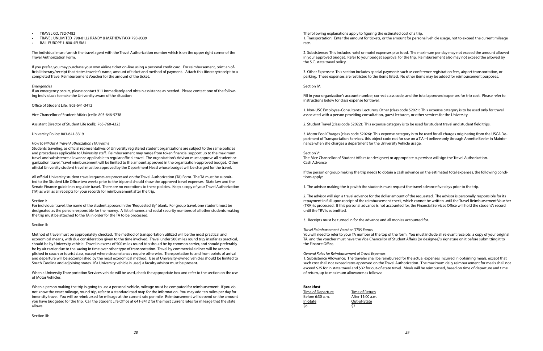*28 29*

- TRAVEL CO. 732-7482
- TRAVEL UNLIMITED 798-8122 RANDY & MATHEW FAX# 798-9339
- RAIL EUROPE 1-800-4EURAIL

The individual must furnish the travel agent with the Travel Authorization number which is on the upper right corner of the Travel Authorization Form.

If you prefer, you may purchase your own airline ticket on-line using a personal credit card. For reimbursement, print an official itinerary/receipt that states traveler's name, amount of ticket and method of payment. Attach this itinerary/receipt to a completed Travel Reimbursement Voucher for the amount of the ticket.

#### *Emergencies*

If an emergency occurs, please contact 911 immediately and obtain assistance as needed. Please contact one of the following individuals to make the University aware of the situation:

Office of Student Life: 803-641-3412

Vice Chancellor of Student Affairs (cell): 803-646-5738

Assistant Director of Student Life (cell): 765-760-4323

University Police: 803-641-3319

#### *How to Fill Out A Travel Authorization (TA) Forms*

Students traveling, as official representatives of University registered student organizations are subject to the same policies and procedures applicable to University staff. Reimbursement may range from token financial support up to the maximum travel and subsistence allowance applicable to regular official travel. The organization's Advisor must approve all student organization travel. Travel reimbursement will be limited to the amount approved in the organization-approved budget. Other official University student travel must be approved by the Department Head whose budget will be charged for the travel.

All official University student travel requests are processed on the Travel Authorization (TA) Form. The TA must be submitted to the Student Life Office two weeks prior to the trip and should show the approved travel expenses. State law and the Senate Finance guidelines regulate travel. There are no exceptions to these policies. Keep a copy of your Travel Authorization (TA) as well as all receipts for your records for reimbursement after the trip.

#### Section I:

For individual travel, the name of the student appears in the "Requested By" blank. For group travel, one student must be designated as the person responsible for the money. A list of names and social security numbers of all other students making the trip must be attached to the TA in order for the TA to be processed.

#### Section II:

Method of travel must be appropriately checked. The method of transportation utilized will be the most practical and economical means, with due consideration given to the time involved. Travel under 500 miles round trip, insofar as practical, should be by University vehicle. Travel in excess of 500 miles round trip should be by common carrier, and should preferably be by air carrier due to the saving in time over other type of transportation. Travel by commercial airlines will be accomplished in coach or tourist class, except where circumstances require otherwise. Transportation to and from points of arrival and departure will be accomplished by the most economical method. Use of University-owned vehicles should be limited to South Carolina and adjoining states. If a University vehicle is used, a faculty advisor must be present.

When a University Transportation Services vehicle will be used, check the appropriate box and refer to the section on the use of Motor Vehicles.

When a person making the trip is going to use a personal vehicle, mileage must be computed for reimbursement. If you do not know the exact mileage, round trip, refer to a standard road map for the information. You may add ten miles per day for inner city travel. You will be reimbursed for mileage at the current rate per mile. Reimbursement will depend on the amount you have budgeted for the trip. Call the Student Life Office at 641-3412 for the most current rates for mileage that the state allows.

Section III:

The following explanations apply to figuring the estimated cost of a trip. 1. Transportation: Enter the amount for tickets, or the amount for personal vehicle usage, not to exceed the current mileage rate.

2. Subsistence: This includes hotel or motel expenses plus food. The maximum per day may not exceed the amount allowed in your approved budget. Refer to your budget approval for the trip. Reimbursement also may not exceed the allowed by the S.C. state travel policy.

3. Other Expenses: This section includes special payments such as conference registration fees, airport transportation, or parking. These expenses are restricted to the items listed. No other items may be added for reimbursement purposes.

Section IV:

Fill in your organization's account number, correct class code, and the total approved expenses for trip cost. Please refer to instructions below for class expense for travel.

1. Non-USC Employee-Consultants, Lecturers, Other (class code 52021: This expense category is to be used only for travel associated with a person providing consultation, guest lecturers, or other services for the University.

2. Student Travel (class code 52022): This expense category is to be used for student travel and student field trips.

3. Motor Pool Charges (class code 52026): This expense category is to be used for all charges originating from the USCA Department of Transportation Services. this object code not for use on a T.A.--I believe only through Annette Beeler in Maintenance when she charges a department for the University Vehicle usage.

#### Section V:

The Vice Chancellor of Student Affairs (or designee) or appropriate supervisor will sign the Travel Authorization. Cash Advance

If the person or group making the trip needs to obtain a cash advance on the estimated total expenses, the following conditions apply:

1. The advisor making the trip with the students must request the travel advance five days prior to the trip.

2. The advisor will sign a travel advance for the dollar amount of the requested. The advisor is personally responsible for its repayment in full upon receipt of the reimbursement check, which cannot be written until the Travel Reimbursement Voucher (TRV) is processed. If this personal advance is not accounted for, the Financial Services Office will hold the student's record until the TRV is submitted.

3. Receipts must be turned in for the advance and all monies accounted for.

#### *Travel Reimbursement Voucher (TRV) Forms*

You will need to refer to your TA number at the top of the form. You must include all relevant receipts; a copy of your original TA, and the voucher must have the Vice Chancellor of Student Affairs (or designee)'s signature on it before submitting it to the Finance Office.

*General Rules for Reimbursement of Travel Expenses*

1. Subsistence Allowance: The traveler shall be reimbursed for the actual expenses incurred in obtaining meals, except that such cost shall not exceed rates approved on the Travel Authorization. The maximum daily reimbursement for meals shall not exceed \$25 for in state travel and \$32 for out-of-state travel. Meals will be reimbursed, based on time of departure and time of return, up to maximum allowance as follows:

#### **Breakfast**

Time of Departure Time of Return Before 6:30 a.m. After 11:00 a.m. In-State Out-of-State \$6 \$7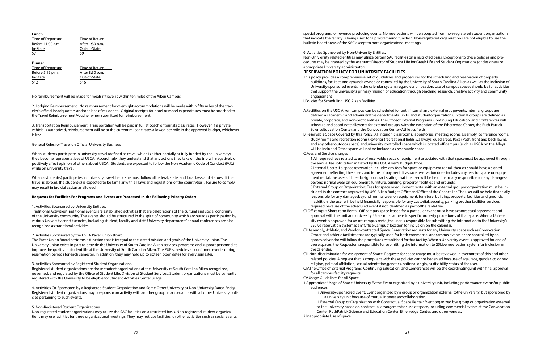| Time of Return  |
|-----------------|
| After 1:30 p.m. |
| Out-of-State    |
| \$9             |
|                 |

#### **Dinner**

Time of Departure Time of Return Before 5:15 p.m. After 8:30 p.m. In-State Out-of-State  $$12$   $$16$ 

No reimbursement will be made for meals if travel is within ten miles of the Aiken Campus.

2. Lodging Reimbursement: No reimbursement for overnight accommodations will be made within fifty miles of the traveler's official headquarters and/or place of residence. Original receipts for hotel or motel expenditures must be attached to the Travel Reimbursement Voucher when submitted for reimbursement.

3. Transportation Reimbursement: Transportation will be paid in full at coach or tourists class rates. However, if a private vehicle is authorized, reimbursement will be at the current mileage rates allowed per mile in the approved budget, whichever is less.

When a student(s) participates in university travel, he or she must follow all federal, state, and local laws and statues. If the travel is abroad, the student(s) is expected to be familiar with all laws and regulations of the country(ies). Failure to comply may result in judicial action as allowed

#### General Rules for Travel on Official University Business

When students participate in university travel (defined as travel which is either partially or fully funded by the university) they become representatives of USCA. Accordingly, they understand that any actions they take on the trip will negatively or positively affect opinion of others about USCA. Students are expected to follow the Non Academic Code of Conduct (IV.C.) while on university travel.

#### **Requests for Facilities For Programs and Events are Processed in the Following Priority Order:**

#### 1. Activities Sponsored by University Entities.

Traditional Activities/Traditional events are established activities that are celebrations of the cultural and social continuity of the University community. The events should be structured in the spirit of community which encourages participation by various University constituencies, including student, faculty and staff. University departments' annual conferences are also recognized as traditional activities.

#### 2. Activities Sponsored by the USCA Pacer Union Board.

The Pacer Union Board performs a function that is integral to the stated mission and goals of the University union. The University union exists in part to provide the University of South Carolina Aiken services, programs and support personnel to improve the quality of student life at the University of South Carolina Aiken. The PUB schedules all confirmed events during reservation periods for each semester. In addition, they may hold up to sixteen open dates for every semester.

#### 3. Activities Sponsored by Registered Student Organizations.

Registered student organizations are those student organizations at the University of South Carolina Aiken recognized, governed, and regulated by the Office of Student Life, Division of Student Services. Student organizations must be currently registered with the University to be eligible for Student Activities Center usage.

4. Activities Co-Sponsored by a Registered Student Organization and Some Other University or Non-University Rated Entity. Registered student organizations may co-sponsor an activity with another group in accordance with all other University policies pertaining to such events.

#### 5. Non-Registered Student Organizations.

Non-registered student organizations may utilize the SAC facilities on a restricted basis. Non-registered student organizations may use facilities for three organizational meetings. They may not use facilities for other activities such as social events,

special programs, or revenue producing events. No reservations will be accepted from non-registered student organizations that indicate the facility is being used for a programming function. Non-registered organizations are not eligible to use the bulletin board areas of the SAC except to note organizational meetings.

6. Activities Sponsored by Non-University Entities. Non-Univ ersity related entities may utilize certain SAC facilities on a restricted basis. Exceptions to these policies and procedures may be granted by the Assistant Director of Student Life for Greek Life and Student Orginzations (or designee) or appropriate University administrators.

#### **RESERVATION POLICY FOR UNIVERSITY FACILITIES**

This policy provides a comprehensive set of guidelines and procedures for the scheduling and reservation of property, buildings, facilities and grounds owned or controlled by the University of South Carolina Aiken as well as the inclusion of University-sponsored events in the calendar system, regardless of location. Use of campus spaces should be for activities that support the university's primary mission of education through teaching, research, creative activity and community

A.Facilities on the USC Aiken campus can be scheduled for both internal and external groupevents. Internal groups are defined as academic and administrative departments, units, and studentorganizations. External groups are defined as private, corporate, and non-profit entities. The Officeof External Programs, Continuing Education, and Conferences will schedule and coordinate allevents for external groups, with the exception of the Etherredge Center, the Ruth Patrick

B.Reservable Space Covered by this Policy: All interior (classrooms, laboratories, meeting rooms,assembly, conference rooms, study rooms and recreation rooms), exterior (recreational fields,walkways, quad areas, Pacer Path, front and back lawns, and any other outdoor space) anduniversity controlled space which is located off-campus (such as USCA on the Alley)

1.All required fees related to use of reservable space or equipment associated with that spacemust be approved through

2.Internal Users: If a space reservation includes any fees for space or equipment rental, theuser should have a signed agreement reflecting these fees and terms of payment. If aspace reservation does includes any fees for space or equipment rental, the user still needa sign contract stating that the user will be held financially responsible for any damages-

3.External Group or Organization: Fees for space or equipment rental with an external groupor organization must be included in the contract approved by USC Aiken Budget Office andOffice of the Chancellor. The user will be held financially responsible for any damagesbeyond normal wear on equipment, furniture, building, property, facilities and grounds. Inaddition, the user will be held financially responsible for any custodial, security, parking orother facilities services

- engagement
- I.Policies for Scheduling USC Aiken Facilities
- ScienceEducation Center, and the Convocation Center/Athletics fields.
- will be included.Office space will not be included as reservable space. C.Fees and Service charges
- the annual fee solicitation initiated by the USC Aiken's BudgetOffice. beyond normal wear on equipment, furniture, building, property, facilities and grounds. required because of the scheduled event if not identified as part ofthe rental fee.
- 25Live reservation systemas an "Office Campus" location for inclusion on the calendar.
- the calendar.
- 
- for all campus facility requests.
- CV.Usage Guidelines for All Space
- audiences.
	- a university unit because of mutual interest andcollaboration.
- 2.Inappropriate Use of space

CI.Off-campus Short-term Rental: Off-campus space leased for a particular event must have acontractual agreement and approval with the unit and university. Users must adhere to specificproperty procedures of that space. When a University event is approved for an off-campus rental,the user is responsible for submitting the information to the University's

CII.Assembly, Athletic, and Vendor-contracted Space: Reservation requests for any University spacesuch as Convocation Center and athletic facilities that are typically used for both commercial andcampus events or are controlled by an approved vendor will follow the procedures established forthat facility. When a University event is approved for one of these spaces, the Requestor isresponsible for submitting the information to 25Live reservation system for inclusion on

CIII.Non-discrimination for Assignment of Space: Requests for space usage must be reviewed in thecontext of this and other related policies. A request that is compliant with these policies cannot bedenied because of age, race, gender, color, sex, religion, political affiliation, sexual orientation,genetics, national origin, or disability status of the user.

CIV.The Office of External Programs, Continuing Education, and Conferences will be the coordinatingunit with final approval

1.Appropriate Usage of Spacei.University Event: Event organized by a university unit, including performance eventsfor public

ii.University-sponsored Event: Event organized by a group or organization external tothe university, but sponsored by

 iii.External Group or Organization with Contractual Space Rental: Event organized bya group or organization external to the university based on contractual arrangementfor use of space, including commercial events at the Convocation Center, RuthPatrick Science and Education Center, Etherredge Center, and other venues.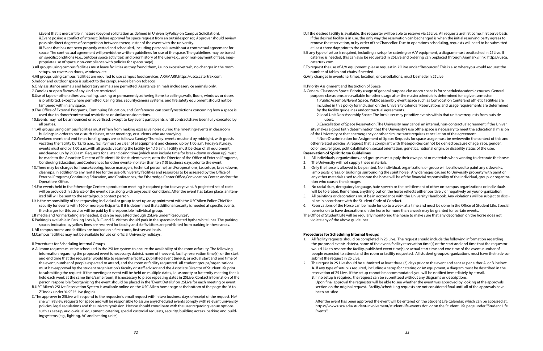i.Event that is mercantile in nature (beyond solicitation as defined in UniversityPolicy on Campus Solicitation). ii.Event posing a conflict of interest: Before approval for space request from an outsidesponsor, Approver should review possible direct degrees of competition between therequester of the event with the university.

iii.Event that has not been properly vetted and scheduled, including personal usewithout a contractual agreement for space. The contractual agreement will providethe written guidelines for use of the space. The guidelines may be based on specificconditions (e.g., outdoor space activities) and prior history of the user (e.g., prior non-payment of fees, inappropriate use of space, non-compliance with policies for spaceusage).

3.All groups using campus facilities must leave facilities as they found them, i.e. no excessivetrash, no changes in the room setups, no covers on doors, windows, etc.

4.All groups using campus facilities are required to use campus food services, ARAMARK,https://usca.catertrax.com. 5.Indoor and outdoor space is subject to the campus-wide ban on tobacco

6.Only assistance animals and laboratory animals are permitted. Assistance animals includeservice animals only. 7.Candles or open flames of any kind are restricted

8.Use of tape or other adhesives, nailing, tacking or permanently adhering items to ceilings,walls, floors, windows or doors is prohibited, except where permitted. Ceiling tiles, securitycamera systems, and fire safety equipment should not be tampered with in any space.

- 9.The Office of External Programs, Continuing Education, and Conferences can specifyrestrictions concerning how a space is used due to donor/contractual restrictions or similarconsiderations.
- 10.Events may not be announced or advertised, except to key event participants, until contractshave been fully executed by all parties.
- 11.All groups using campus facilities must refrain from making excessive noise during theirmeeting/events in classroom buildings in order to not disturb classes, other meetings, orstudents who are studying.
- 12.Weekend event and end times for all groups are as follows: Sunday-Thursday: events mustend by midnight, with guests vacating the facility by 12:15 a.m., facility must be clear of allequipment and cleaned up by 1:00 a.m. Friday-Saturday: events must end by 1:00 a.m.,with all guests vacating the facility by 1:15 a.m., facility must be clear of all equipment andcleaned up by 2:00 a.m. Requests for a later closing time (which may include time for break-down or clean up) must be made to the Associate Director of Student Life for studentevents; or to the Director of the Office of External Programs, Continuing Education, andConferences for other events- no later than ten (10) business days prior to the event.
- 13.There may be charges for housekeeping, house managers, technical personnel, and/oroperations, i.e. setups, breakdowns, cleanups, in addition to any rental fee for the use ofUniversity facilities and resources to be assessed by the Office of External Programs,Continuing Education, and Conferences, the Etherredge Center Office,Convocation Center, and/or the Operations Office.
- 14.For events held in the Etherredge Center: a production meeting is required prior to everyevent. A projected set of costs will be provided in advance of the event date, along with anyspecial conditions. After the event has taken place, an itemized bill will be sent to the rentalgroup contact person.
- I.It is the responsibility of the requesting individual or group to set up an appointment with the USCAiken Police Chief for security for events with 100 or more participants. If it is determined thatadditional security is needed at specific events, the charges for this service will be paid by theresponsible individual group.

J.If media and /or marketing are needed, it can be requested through 25Live under "Resources".

K.Parking is available in Parking Lots A, B, C, and D. Visitors should park in the spaces indicated bythe white lines. The parking spaces indicated by yellow lines are reserved for faculty and staff;visitors are prohibited from parking in these areas.

L.All campus rooms and facilities are booked on a first-come, first-served basis.

M.Campus facilities may not be available for use on official University holidays.

II.Procedures for Scheduling Internal Groups

- A.All room requests must be scheduled in the 25Live system to ensure the availability of the room orfacility. The following information regarding the proposed event is necessary: date(s), name of theevent, facility reservation time(s), or the start and end time that the requester would like to reservethe facility, published event time(s), or actual start and end time of the event, number of people expected to attend, and the room or facility requested. All student groups/organizations must haveapproval by the student organization's faculty or staff advisor and the Associate Director of StudentLife prior to submitting the request. If the meeting or event will be held on multiple dates, i.e. asorority or fraternity meeting that is held each week at the same time/same room, it isnecessary to place repeating dates in 25Live. Contact information of the person responsible fororganizing the event should be placed in the "Event Details" on 25Live for each meeting or event.
- B.USC Aiken's 25Live Reservation System is available online on the USC Aiken homepage at thebottom of the page the "A to Z" index under "0-9" 25Live (login).
- C.The approver in 25Live will respond to the requester's email request within two business days ofreceipt of the request. He/ she will review requests for space and will be responsible to assure anyscheduled events comply with relevant university policies, legal regulations and the universitymission. He/she should coordinate with the user regarding venue options such as set-up, audio-visual equipment, catering, special custodial requests, security, building access, parking and buildingsystems (e.g., lighting, AC and heating units)

D.If the desired facility is available, the requester will be able to reserve via 25Live. All requests arefirst come, first serve basis. If the desired facility is in use, the only way the reservation can bechanged is when the initial reserving party agrees to remove the reservation, or by order of theChancellor. Due to operations scheduling, requests will need to be submitted

E.If any type of setup is required, including a setup for catering or A/V equipment, a diagram must beattached in 25Live. If catering is needed, this can also be requested in 25Live and ordering can beplaced through Aramark's link: https://usca.

- at least three daysprior to the event.
- catertrax.com.
- number of tables and chairs if needed.
- G.Any changes in events i.e. times, location, or cancellations, must be made in 25Live

F.To request the use of A/V equipment, please request in 25Live under "Resources". This is also whereyou would request the

III.Priority Assignment and Restriction of Space

A.General Classroom Space: Priority usage of general purpose classroom space is for scheduledacademic courses. General purpose classrooms are available for other usage after the masterschedule is determined for a given semester.

 1.Public Assembly/Event Space: Public assembly event space such as Convocation Centerand athletic facilities are included in this policy for inclusion on the University calendar.Reservations and usage requirements are determined

by the facility guidelines andcontractual agreements. users.

2.Local Unit Non-Assembly Space: The local user may prioritize events within that unit overrequests from outside

 3.Cancellation of Space Reservation: The University may cancel an internal, non-contractualagreement if the Univer sity makes a good faith determination that the University's use ofthe space is necessary to meet the educational mission of the University or that anemergency or other circumstance requires cancellation of the agreement.

 4.Non-Discrimination for Assignment of Space: Requests for space usage must be reviewedin the context of this and other related policies. A request that is compliant with thesepolicies cannot be denied because of age, race, gender, color, sex, religion, politicalaffiliation, sexual orientation, genetics, national origin, or disability status of the user.

### **Reservation of Spirit Horse Guidelines**

1. All individuals, organizations, and groups must supply their own paint or materials when wanting to decorate the horse.

3. Only the horse is allowed to be painted. No individual, organization, or group will be allowed to paint any sidewalks, lamp posts, grass, or buildings surrounding the spirit horse. Any damages caused to University property with paint or any other materials used to decorate the horse will be of the financial responsibility of the individual, group, or organiza-

- 
- 2. The University will not supply these materials.
- tion who causes the damages.
- 
- pline in accordance with the Student Code of Conduct.
- permission to have decorations on the horse for more than a week may be granted for certain events.
- The Office of Student Life will be regularly monitoring the horse to make sure that any decoration on the horse does not violate any of the above guidelines.

4. No racial slurs, derogatory language, hate speech or the belittlement of other on-campus organizations or individuals will be tolerated. Remember, anything put on the horse reflects either positively or negatively on your organization. 5. All paintings or decorations must be in accordance with the University Handbook. Any violations will be subject to disci-

6. Reservations of the Horse can be made for up to a week at a time and must be done in the Office of Student Life. Special

#### **Procedures for Scheduling Internal Groups**

1. All facility requests should be completed in 25 Live. The request should include the following information regarding the proposed event: date(s), name of the event, facility reservation time(s) or the start and end time that the requestor would like to reserve the facility, published event time(s) or actual start time and end time of the event, number of people expected to attend and the room or facility requested. All student groups/organizations must have their advisor

2. The requst in 25 Liveshould be submitted at least three (3) days prior to the event and sent as per either A. or B. below: **A.** If any type of setup is required, including a setup for catering or AV equipment, a diagram must be described in the

- submit the request in 25 Live.
- reservation of 25 Live. If the setup cannot be accommodated, you will be notified immediately by e-mail. **B.** If no setup is required, the request can be submitteed without any diagrams or descriptions.
	- been satisfied.

Upon final approval the requestor will be able to see whether the event was approved by looking at the approvals section on the original request. Facility/scheduling requests are not considered final until all of the approvals have

After the event has been approved the event will be entered on the Student Life Calendar, which can be accessed at: https://www.usca.edu/student-involvement/student-life-events.dot or on the Student Life page under "Student Life Events".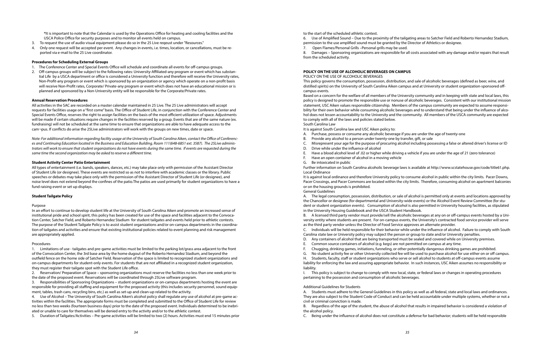**\***It is important to note that the Calendar is used by the Operations Office for heating and cooling facilities and the USCA Police Office for security purposes and to monitor all events held on campus.

- 3. To request the use of audio visual equipment please do so in the 25 Live reqeust under "Resources."
- 4. Only one request will be accepted per event. Any changes in events, i.e. times, location, or cancellations, must be reported via e-mail to the 25 Live coordinator.

#### **Procedures for Scheduling External Groups**

- 1. The Conference Center and Special Events Office will schedule and coordinate all events for off-campus groups.
- 2. Off-campus groups will be subject to the following rates: University-Affiliated-any program or event which has substantial Life by a USCA department or office is considered a University function and therefore will receive the University rates, Non-Profit-any program or event which is sponsored by an organization or agency which operate on a non-profit basis will receive Non-Profit rates, Corporate/ Private-any program or event which does not have an educational mission or is planned and sponsored by a Non-University entity will be responsible for the Corporate/Private rates.

#### **Annual Reservation Procedures**

All activities in the SAC are recorded on a master calendar maintained in 25 Live. The 25 Live administrators will accept requests for facilities usage on a "first come" basis. The Office of Student Life, in conjunction with the Conference Center and Special Events Office, reserves the right to assign facilities on the basis of the most efficient utilization of space. Adjustments will be made if certain situations require changes in the facilities reserved by a group. Events that are of the same nature (ex. fundraising) will not be scheduled at the same time to ensure that organizations are able to have adequate access to the cam¬pus. If conflicts do arise the 25Live administrators will work with the groups on new times, date or space.

*Note: For additional information regarding facility usage at the University of South Carolina Aiken, contact the Office of Conferences and Continuing Education located in the Business and Education Building, Room 111(648-6851 ext. 3587). The 25Live administrators will work to ensure that student organizations do not have events during the same time. If events are requested during the same time the second organization may be asked to reserve a different time.* 

#### **Student Activity Center Patio Entertainment**

All types of entertainment (i.e. bands, speakers, dances, etc.) may take place only with permission of the Assistant Director of Student Life (or designee). These events are restricted so as not to interfere with academic classes or the library. Public speeches or debates may take place only with the permission of the Assistant Director of Student Life (or designee), and noise level does not extend beyond the confines of the patio.The patios are used primarily for student organizations to have a fund raising event or set up displays.

#### **Student Tailgate Policy**

#### Purpose

In an effort to continue to develop student life at the University of South Carolina Aiken and promote an increased sense of institutional pride and school spirit, this policy has been created for use of the space and facilities adjacent to the Convocation Center, Satcher Field, and Roberto Hernandez Stadium for student tailgates and events held prior to athletic contests. The purpose of the Student Tailgate Policy is to assist student organizations and/or on-campus departments in the coordination of tailgates and activities and ensure that existing institutional policies related to event planning and risk management are appropriately applied.

#### Procedures

1. Limitations of use - tailgates and pre-game activities must be limited to the parking lot/grass area adjacent to the front of the Convocation Center, the 3rd base area by the home dugout of the Roberto Hernandez Stadium, and beyond the outfield fence on the home side of Satcher Field. Reservation of the space is limited to recognized student organizations and on-campus departments for student-only events. For students that are not affiliated in a recognized student organization, they must register their tailgate spot with the Student Life office.

2. Reservation/ Preparation of Space – sponsoring organizations must reserve the facilities no less than one week prior to the date of the proposed event. Reservations will be coordinated through 25Live software program.

3. Responsibilities of Sponsoring Organizations – student organizations or on-campus departments hosting the event are responsible for providing all staffing and equipment for the proposed activity (this includes security personnel, sound equipment, tables, trash cans, recycling bins, etc.) as well as set-up and clean-up related to the activity.

4. Use of Alcohol – The University of South Carolina Aiken's alcohol policy shall regulate any use of alcohol at pre-game activities within the facilities. The appropriate forms must be completed and submitted to the Office of Student Life for review no less than two weeks (fourteen business days) prior to the date of the proposed event. Individuals determined to be inebriated or unable to care for themselves will be denied entry to the activity and/or to the athletic contest.

5. Duration of Tailgates/Activities – Pre-game activities will be limited to two (2) hours. Activities must end 15 minutes prior

to the start of the scheduled athletic contest.

6. Use of Amplified Sound – Due to the proximity of the tailgating areas to Satcher Field and Roberto Hernandez Stadium, permission to the use amplified sound must be granted by the Director of Athletics or designee.

7. Open Flames/Personal Grills –Personal grills may be used. 8. Damages – Sponsoring organizations are responsible for all costs associated with any damage and/or repairs that result from the scheduled activity.

#### **POLICY ON THE USE OF ALCOHOLIC BEVERAGES ON CAMPUS**

POLICY ON THE USE OF ALCOHOLIC BEVERAGES

This policy governs the consumption, possession, distribution, and sale of alcoholic beverages (defined as beer, wine, and distilled spirits) on the University of South Carolina Aiken campus and at University or student organization-sponsored offcampus events.

Based on a concern for the welfare of all members of the University community and in keeping with state and local laws, this policy is designed to promote the responsible use or nonuse of alcoholic beverages. Consistent with our institutional mission statement, USC Aiken values responsible citizenship. Members of the campus community are expected to assume responsibility for their own behavior while consuming alcoholic beverages and to understand that being under the influence of alcohol does not lessen accountability to the University and the community. All members of the USCA community are expected to comply with all of the laws and policies stated below. South Carolina Law

It is against South Carolina law and USC Aiken policy to:

C. Misrepresent your age for the purpose of procuring alcohol including possessing a false or altered driver's license or ID

- A. Purchase, possess or consume any alcoholic beverage if you are under the age of twenty-one
- B. Provide any alcohol to a person under twenty-one by transfer, gift, or sale
- 
- D. Drive while under the influence of alcohol
- 
- F. Have an open container of alcohol in a moving vehicle
- G. Be intoxicated in public

E. Have a blood alcohol level of .02 or higher while driving a vehicle if you are under the age of 21 (zero tolerance)

Further information on South Carolina alcoholic beverage laws is available at http://www.scstatehouse.gov/code/title61.php. Local Ordinance

It is against local ordinance and therefore University policy to consume alcohol in public within the city limits. Pacer Downs, Pacer Crossings, and Pacer Commons are located within the city limits. Therefore, consuming alcohol on apartment balconies or on the housing grounds is prohibited. General Guidelines

A. The legal consumption, possession, distribution, or sale of alcohol is permitted only at events and locations approved by the Chancellor or designee (for departmental and University-wide events) or the Alcohol Event Review Committee (for student or student organization events). Consumption of alcohol is also permitted in University housing facilities, as stipulated in the University Housing Guidebook and the USCA Student Handbook.

B. A licensed third party vendor must provide/sell the alcoholic beverages at any on or off-campus events hosted by a University entity where students are present. For on-campus events, the University's contracted food service provider will serve as the third party vendor unless the Director of Food Service approves an alternate provider.

C. Individuals will be held responsible for their behavior while under the influence of alcohol. Failure to comply with South Carolina state law or University policy may subject the person or group to state and/or University penalties.

- 
- 
- 
- 

D. Any containers of alcohol that are being transported must be sealed and covered while on University premises.

E. Common source containers of alcohol (e.g. kegs) are not permitted on campus at any time.

F. Chugging, drinking games, initiations, funneling, or other potentially dangerous drinking games are prohibited.

G. No student activity fee or other University collected fee will be used to purchase alcohol for use either on or off campus.

H. Students, faculty, staff or student organizations who serve or sell alcohol to students at off-campus events assume liability for enforcing the law and assuring appropriate behavior. In such instances, USC Aiken assumes no responsibility or liability.

I. This policy is subject to change to comply with new local, state, or federal laws or changes in operating procedures pertaining to the possession and consumption of alcoholic beverages.

#### Additional Guidelines for Students

A. Students must adhere to the General Guidelines in this policy as well as all federal, state and local laws and ordinances. They are also subject to the Student Code of Conduct and can be held accountable under multiple systems, whether or not a civil or criminal conviction is made.

B. Regardless of the age of the student, the abuse of alcohol that results in impaired behavior is considered a violation of the alcohol policy.

C. Being under the influence of alcohol does not constitute a defense for bad behavior; students will be held responsible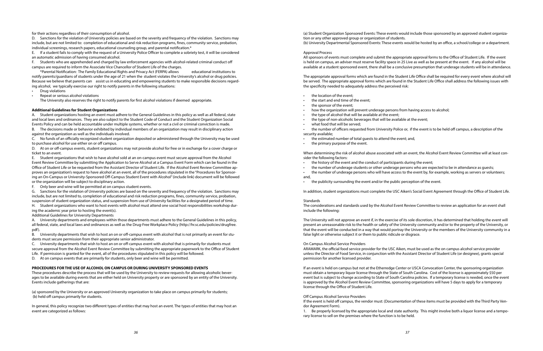for their actions regardless of their consumption of alcohol.

D. Sanctions for the violation of University policies are based on the severity and frequency of the violation. Sanctions may include, but are not limited to: completion of educational and risk reduction programs, fines, community service, probation, individual screenings, research papers, educational counseling group, and parental notification.\*

E. If a student fails to comply with the request of a University Police Officer to complete a sobriety test, it will be considered an automatic admission of having consumed alcohol.

F. Students who are apprehended and charged by law enforcement agencies with alcohol-related criminal conduct off campus are required to inform the Associate Vice Chancellor of Student Life of the charges.

\*Parental Notification: The Family Educational Rights and Privacy Act (FERPA) allows educational institutions to notify parents/guardians of students under the age of 21 when the student violates the University's alcohol or drug policies. Because we believe that parents can assist us in educating and empowering students to make responsible decisions regarding alcohol, we typically exercise our right to notify parents in the following situations:

- Drug violations
- Repeat or serious alcohol violations

The University also reserves the right to notify parents for first alcohol violations if deemed appropriate.

#### **Additional Guidelines for Student Organizations**

A. Student organizations hosting an event must adhere to the General Guidelines in this policy as well as all federal, state and local laws and ordinances. They are also subject to the Student Code of Conduct and the Student Organization Social Events Policy and can be held accountable under multiple systems, whether or not a civil or criminal conviction is made. B. The decisions made or behavior exhibited by individual members of an organization may result in disciplinary action

against the organization as well as the individuals involved.

C. No funds of an officially recognized student organization deposited or administered through the University may be used to purchase alcohol for use either on or off campus.

D. At on or off-campus events, student organizations may not provide alcohol for free or in exchange for a cover charge or ticket to an event.

E. Student organizations that wish to have alcohol sold at an on-campus event must secure approval from the Alcohol Event Review Committee by submitting the Application to Serve Alcohol at a Campus Event Form which can be found in the Office of Student Life or be requested from the Assistant Director of Student Life. If the Alcohol Event Review Committee approves an organization's request to have alcohol at an event, all of the procedures stipulated in the "Procedures for Sponsoring an On-Campus or University-Sponsored Off-Campus Student Event with Alcohol" (include link) document will be followed or the organization will be subject to disciplinary action.

F. Only beer and wine will be permitted at on campus student events.

G. Sanctions for the violation of University policies are based on the severity and frequency of the violation. Sanctions may include, but are not limited to, completion of educational and risk reduction programs, fines, community service, probation, suspension of student organization status, and suspension from use of University facilities for a designated period of time.

- the estimated number of total guests to attend the event; and,
- the primary purpose of the event.

H. Student organizations who want to host events with alcohol must attend one social host responsibilities workshop during the academic year prior to hosting the event(s).

Additional Guidelines for University Departments

A. University departments and employees within those departments must adhere to the General Guidelines in this policy, all federal, state, and local laws and ordinances as well as the Drug-Free Workplace Policy (http://hr.sc.edu/policies/drugfree. pdf).

B. University departments that wish to host an on or off-campus event with alcohol that is not primarily an event for students must secure permission from their appropriate senior administrator.

C. University departments that wish to host an on or off-campus event with alcohol that is primarily for students must secure approval from the Alcohol Event Review Committee by submitting the appropriate paperwork to the Office of Student Life. If permission is granted for the event, all of the procedures stipulated in this policy will be followed.

D. At on campus events that are primarily for students, only beer and wine will be permitted.

#### **PROCEDURES FOR THE USE OF ALCOHOL ON CAMPUS OR DURING UNIVERSITY SPONSORED EVENTS**

These procedures describe the process that will be used by the University to review requests for allowing alcoholic beverages to be available during events that are either held on University property or are sponsored by an entity of the University. Events include gatherings that are:

(a) sponsored by the University or an approved University organization to take place on campus primarily for students; (b) held off campus primarily for students.

In general, this policy recognize two different types of entities that may host an event. The types of entities that may host an event are categorized as follows:

(a) Student Organization Sponsored Events: These events would include those sponsored by an approved student organization or any other approved group or organization of students. (b) University Departmental Sponsored Events: These events would be hosted by an office, a school/college or a department.

#### Approval Process

All sponsors of events must complete and submit the appropriate approval forms to the Office of Student Life. If the event is held on campus, an adviser must reserve facility space in 25 Live as well as be present at the event. If any alcohol will be available at a student sponsored event, there shall be a conclusive presumption that underage students will be in attendance.

The appropriate approval forms which are found in the Student Life Office shall be required for every event where alcohol will be served. The appropriate approval forms which are found in the Student Life Office shall address the following issues with the specificity needed to adequately address the perceived risk:

- the location of the event;
- the start and end time of the event;
- the sponsor of the event;
- how the organization will prevent underage persons from having access to alcohol;
- the type of alcohol that will be available at the event;
- the type of non-alcoholic beverages that will be available at the event;
- what food that will be served;

• the number of officers requested from University Police or, if the event is to be held off campus, a description of the

security available;

When determining the risk of alcohol abuse associated with an event, the Alcohol Event Review Committee will at least consider the following factors:

• the number of underage students or other underage persons who are expected to be in attendance as guests;

- the history of the event and the conduct of participants during the event;
- 
- and,
- the publicity surrounding the event and/or the public perception of the event.

• the number of underage persons who will have access to the event by, for example, working as servers or volunteers;

In addition, student organizations must complete the USC Aiken's Social Event Agreement through the Office of Student Life.

#### Standards

The considerations and standards used by the Alcohol Event Review Committee to review an application for an event shall include the following:

The University will not approve an event if, in the exercise of its sole discretion, it has determined that holding the event will present an unreasonable risk to the health or safety of the University community and/or to the property of the University, or that the event will be conducted in a way that would portray the University or the members of the University community in a false light or otherwise subject it or them to public ridicule or disgrace.

#### On Campus Alcohol Service Providers

ARAMARK, the official food service provider for the USC Aiken, must be used as the on campus alcohol service provider unless the Director of Food Service, in conjunction with the Assistant Director of Student Life (or designee), grants special permission for another licensed provider.

If an event is held on campus but not at the Etherredge Center or USCA Convocation Center, the sponsoring organization must obtain a temporary liquor license through the State of South Carolina. Cost of the license is approximately \$50 per event but is subject to change according to State of South Carolina policies. If a temporary license is needed, once the event is approved by the Alcohol Event Review Committee, sponsoring organizations will have 5 days to apply for a temporary license through the Office of Student Life.

#### Off Campus Alcohol Service Providers

If the event is held off campus, the vendor must: (Documentation of these items must be provided with the Third Party Vendor Agreement Form).

1. Be properly licensed by the appropriate local and state authority. This might involve both a liquor license and a temporary license to sell on the premises where the function is to be held.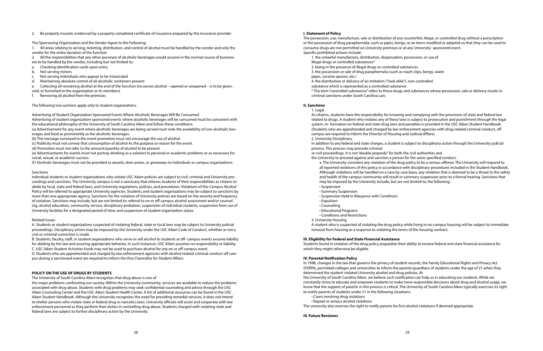#### 2. Be properly insured, evidenced by a properly completed certificate of insurance prepared by the insurance provider.

The Sponsoring Organization and the Vendor Agree to the Following:

1. All areas relating to serving, ticketing, distribution, and control of alcohol must be handled by the vendor and only the vendor for the entire duration of the function

2. All the responsibilities that any other purveyor of alcoholic beverages would assume in the normal course of business

- are to be handled by the vendor, including but not limited to:
- a. Checking identification cards upon entry
- b. Not serving minors
- c. Not serving individuals who appear to be intoxicated
- d. Maintaining absolute control of all alcoholic containers present
- e. Collecting all remaining alcohol at the end of the function (no excess alcohol opened or unopened is to be given,

sold, or furnished to the organization or its members)

f. Removing all alcohol from the premises

The following two sections apply only to student organizations.

Advertising of Student Organization Sponsored Events Where Alcoholic Beverages Will Be Consumed.

Advertising of student organization-sponsored events where alcoholic beverages will be consumed must be consistent with the educational philosophy of the University of South Carolina Aiken and follow these conditions:

(a) Advertisement for any event where alcoholic beverages are being served must note the availability of non-alcoholic beverages and food as prominently as the alcoholic beverages.

(b) The message conveyed in the event promotion must not encourage the use of alcohol.

(c) Publicity must not convey that consumption of alcohol As the purpose or reason for the event.

(d) Promotion must not refer to the amount/quantity of alcohol to be present

(e) Advertisements for events must not portray drinking as a solution to personal or academic problems or as necessary for social, sexual, or academic success.

(f) Alcoholic beverages must not be provided as awards, door prizes, or giveaways to individuals or campus organizations.

#### Sanctions

Individual students or student organizations who violate USC Aiken policies are subject to civil, criminal and University proceedings and sanctions. The University campus is not a sanctuary that relieves students of their responsibilities as citizens to abide by local, state and federal laws, and University regulations, policies, and procedures. Violations of this Campus Alcohol Policy will be referred to appropriate University agencies. Students and student organizations may be subject to sanctions by more than one appropriate agency. Sanctions for the violation of University policies are based on the severity and frequency of violation. Sanctions may include, but are not limited to: referral to on or off-campus alcohol assessment and/or counseling, alcohol education, community service, disciplinary probation, suspension of individual students, suspension from use of University facilities for a designated period of time, and suspension of student organization status.

#### Related Issues

A. Students or student organizations suspected of violating federal, state or local laws may be subject to University judicial proceedings. Disciplinary action may be imposed by the University under the USC Aiken Code of Conduct, whether or not a civil or criminal conviction is made.

B. Students, faculty, staff, or student organizations who serve or sell alcohol to students at off- campus events assume liability for abiding by the law and assuring appropriate behavior. In such instances, USC Aiken assumes no responsibility or liability. C. USC Aiken Student Activities funds may not be used to purchase alcohol for any on or off-campus event.

D. Students who are apprehended and charged by law enforcement agencies with alcohol-related criminal conduct off campus during a sanctioned event are required to inform the Vice Chancellor for Student Affairs.

#### **POLICY ON THE USE OF DRUGS BY STUDENTS**

The University of South Carolina Aiken recognizes that drug abuse is one of

the major problems confronting our society. Within the University community, services are available to reduce the problems associated with drug abuse. Students with drug problems may seek confidential counseling and advice through the USC Aiken Counseling Center and the USC Aiken Student Health Center. A list of additional resources can be found in the USC Aiken Student Handbook. Although the University recognizes the need for providing remedial services, it does not intend to shelter persons who violate state or federal drug or narcotics laws. University officials will assist and cooperate with law enforcement personnel as they perform their duties in controlling drug abuse. Students charged with violating state and federal laws are subject to further disciplinary action by the University.

#### **I. Statement of Policy**

The possession, use, manufacture, sale or distribution of any counterfeit, illegal, or controlled drug without a prescription or the possession of drug paraphernalia, such as pipes, bongs, or an items modified or adapted so that they can be used to consume drugs are not permitted on University premises or at any University- sponsored event. Specific prohibited actions include:

- 1. the unlawful manufacture, distribution, dispensation, possession, or use of illegal drugs or controlled substances\*
- 2. being in the presence of illegal drugs or controlled substances 3. the possession or sale of drug paraphernalia (such as roach clips, bongs, water pipes, cocaine spoons, etc.)
- 4. the distribution or delivery of an imitation ("look alike"), non-controlled
- substance which is represented as a controlled substance
- criminal sanctions under South Carolina Law.

\* The term "controlled substances" refers to those drugs and substances whose possession, sale or delivery results in

#### **II. Sanctions**

As citizens, students have the responsibility for knowing and complying with the provisions of state and federal law related to drugs. A student who violates any of these laws is subject to prosecution and punishment through the legal system. In- formation on federal and state drug laws and penalties is provided in the USC Aiken Student Handbook. (Students who are apprehended and charged by law enforcement agencies with drug-related criminal conduct, off

- 1. Legal
- campus are required to inform the Director of Housing and Judicial Affairs). 2. University Disciplinary

In addition to any federal and state charges, a student is subject to disciplinary action through the University judicial process. This process may precede criminal

or civil proceedings. It is not "double jeopardy" for both the civil authorities and the University to proceed against and sanction a person for the same specified conduct.

a. The University considers any violation of the drug policy to be a serious offense. The University will respond to all reported violations of this policy in accordance with disciplinary procedures included in the Student Handbook. Although violations will be handled on a case by case basis, any violation that is deemed to be a threat to the safety and health of the campus community will result in summary suspension prior to a formal hearing. Sanctions that

- may be imposed by the University include, but are not limited to, the following:
- Suspension
- Summary Suspension
- Suspension Held in Abeyance with Conditions • Expulsion
- Counseling
- Educational Programs
- Conditions and Restrictions
- 3. University Housing

A student who is suspected of violating the drug policy while living in on-campus housing will be subject to immediate removal from housing as a response to violating the terms of the housing contract.

#### **III. Eligibility for Federal and State Financial Assistance**

Students found in violation of the drug policy jeopardize their ability to receive federal and state financial assistance for which they might otherwise be eligible.

#### **IV. Parental Notification Policy**

In 1998, changes in the law that governs the privacy of student records, the Family Educational Rights and Privacy Act (FERPA), permitted colleges and universities to inform the parents/guardians of students under the age of 21 when they determined the student violated University alcohol and drug policies. At the University of South Carolina Aiken, we believe such notification can help us in educating our students. While we constantly strive to educate and empower students to make more responsible decisions about drug and alcohol usage, we know that the support of parents in this process is critical. The University of South Carolina Aiken typically exercises its right to notify parents of students under 21 in the following situations:

- Cases involving drug violations
- Repeat or serious alcohol violations
- 

The university also reserves the right to notify parents for first alcohol violations if deemed appropriate.

#### **IV. Future Revisions**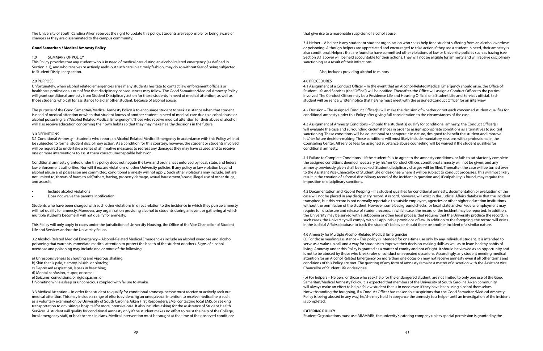The University of South Carolina Aiken reserves the right to update this policy. Students are responsible for being aware of changes as they are disseminated to the campus community.

#### **Good Samaritan / Medical Amnesty Policy**

#### 1.0 SUMMARY OF POLICY

This Policy provides that any student who is in need of medical care during an alcohol related emergency (as defined in Section 3.2), and who receives or actively seeks out such care in a timely fashion, may do so without fear of being subjected to Student Disciplinary action.

#### 2.0 PURPOSE

Unfortunately, when alcohol related emergencies arise many students hesitate to contact law enforcement officials or healthcare professionals out of fear that disciplinary consequences may follow. The Good Samaritan/Medical Amnesty Policy will grant conditional amnesty from Student Disciplinary action for those students in need of medical attention, as well as those students who call for assistance to aid another student, because of alcohol abuse.

The purpose of the Good Samaritan/Medical Amnesty Policy is to encourage student to seek assistance when that student is need of medical attention or when that student knows of another student in need of medical care due to alcohol abuse or alcohol poisoning (an "Alcohol Related Medical Emergency"). Those who receive medical attention for their abuse of alcohol will also receive education concerning their own habits so that they may make healthy decisions in the future.

#### 3.0 DEFINITIONS

3.1 Conditional Amnesty – Students who report an Alcohol Related Medical Emergency in accordance with this Policy will not be subjected to formal student disciplinary action. As a condition for this courtesy, however, the student or students involved will be required to undertake a series of affirmative measures to redress any damages they may have caused and to receive one or more interventions to assist them correct unacceptable behavior.

Conditional amnesty granted under this policy does not negate the laws and ordinances enforced by local, state, and federal law enforcement authorities. Nor will it excuse violations of other University policies. If any policy or law violation beyond alcohol abuse and possession are committed, conditional amnesty will not apply. Such other violations may include, but are not limited to, threats of harm to self/others, hazing, property damage, sexual harassment/abuse, illegal use of other drugs, and assault.

- Include alcohol violations
- Does not waive the parental notification

Students who have been charged with such other violations in direct relation to the incidence in which they pursue amnesty will not qualify for amnesty. Moreover, any organization providing alcohol to students during an event or gathering at which multiple students become ill will not qualify for amnesty.

This Policy will only apply in cases under the jurisdiction of University Housing, the Office of the Vice Chancellor of Student Life and Services and/or the University Police.

3.2 Alcohol-Related Medical Emergency – Alcohol-Related Medical Emergencies include an alcohol overdose and alcohol poisoning that warrants immediate medical attention to protect the health of the student or others. Signs of alcohol overdose and poisoning may include one or more of the following:

- a) Unresponsiveness to shouting and vigorous shaking;
- b) Skin that is pale, clammy, bluish, or blotchy;
- c) Depressed respiration, lapses in breathing;
- d) Mental confusion, stupor, or coma;
- e) Seizures, convulsions, or rigid spasms; or
- f) Vomiting while asleep or unconscious coupled with failure to awake.

3.3 Medical Attention – In order for a student to qualify for conditional amnesty, he/she must receive or actively seek out medical attention. This may include a range of efforts evidencing an unequivocal intention to receive medical help such as a voluntary examination by University of South Carolina Aiken First Responders/EMS, contacting local EMS, or seeking transportation to or visiting a hospital for more intensive care. It also includes asking for the assistance of Student Health Services. A student will qualify for conditional amnesty only if the student makes no effort to resist the help of the College, local emergency staff, or healthcare clinicians. Medical intervention must be sought at the time of the observed conditions that give rise to a reasonable suspicion of alcohol abuse.

3.4 Helper – A helper is any student or student organization who seeks help for a student suffering from an alcohol overdose or poisoning. Although helpers are appreciated and encouraged to take action if they see a student in need, their amnesty is also conditional. Helpers that are found to have committed other violations of law or University policies such as hazing (see Section 3.1 above) will be held accountable for their actions. They will not be eligible for amnesty and will receive disciplinary sanctioning as a result of their infractions.

• Also, includes providing alcohol to minors

#### 4.0 PROCEDURES

4.1 Assignment of a Conduct Officer – In the event that an Alcohol-Related Medical Emergency should arise, the Office of Student Life and Services (the "Office") will be notified. Thereafter, the Office will assign a Conduct Officer to the parties involved. The Conduct Officer may be a Residence Life and Housing Official or a Student Life and Services official. Each student will be sent a written notice that he/she must meet with the assigned Conduct Officer for an interview.

4.2 Decision – The assigned Conduct Officer(s) will make the decision of whether or not each concerned student qualifies for conditional amnesty under this Policy after giving full consideration to the circumstances of the case.

4.3 Assignment of Amnesty Conditions – Should the student(s) qualify for conditional amnesty, the Conduct Officer(s) will evaluate the case and surrounding circumstances in order to assign appropriate conditions as alternatives to judicial sanctioning. These conditions will be educational or therapeutic in nature, designed to benefit the student and improve his/her future decision-making. These conditions will most likely include mandatory sessions with a professional in the Counseling Center. All service fees for assigned substance abuse counseling will be waived if the student qualifies for conditional amnesty.

4.4 Failure to Complete Conditions – If the student fails to agree to the amnesty conditions, or fails to satisfactorily complete the assigned conditions deemed necessary by his/her Conduct Officer, conditional amnesty will not be given, and any amnesty previously given shall be revoked. Student disciplinary charges will be filed. Thereafter, the case will be turned over to the Assistant Vice Chancellor of Student Life or designee where it will be subject to conduct processes. This will most likely result in the creation of a formal disciplinary record of the incident in question and, if culpability is found, may require the imposition of disciplinary sanctions.

4.5 Documentation and Record Keeping – If a student qualifies for conditional amnesty, documentation or evaluation of the case will not be placed in any disciplinary record. A record, however, will exist in the Judicial Affairs database that the incident transpired, but this record is not normally reportable to outside employers, agencies or other higher education institutions without the permission of the student. However, some background checks for local, state and/or Federal employment may require full disclosure and release of student records, in which case, the record of the incident may be reported. In addition, the University may be served with a subpoena or other legal process that requires that the University produce the record. In such cases, the University will comply with all applicable provisions of law. In addition to the foregoing, the record will exists in the Judicial Affairs database to track the student's behavior should there be another incident of a similar nature.

4.6 Amnesty for Multiple Alcohol-Related Medical Emergencies (a) For those needing assistance – This policy is intended for one-time use only by any individual student. It is intended to serve as a wake-up call and a way for students to improve their decision-making skills as well as to learn healthy habits of living. Amnesty under this Policy is granted as a matter of comity and not of right. It should be viewed as an opportunity and is not to be abused by those who break rules of conduct on repeated occasions. Accordingly, any student needing medical attention for an Alcohol Related Emergency on more than one occasion may not receive amnesty even if all other terms and conditions of this Policy are met. The granting of any form of amnesty remains a matter of discretion with the Assistant Vice Chancellor of Student Life or designee.

(b) For helpers – Helpers, or those who seek help for the endangered student, are not limited to only one use of the Good Samaritan/Medical Amnesty Policy. It is expected that members of the University of South Carolina Aiken community will always make an effort to help a fellow student that is in need even if they have been using alcohol themselves. Notwithstanding the foregoing, if a Conduct Officer has reasonable suspicions that the Good Samaritan/Medical Amnesty Policy is being abused in any way, he/she may hold in abeyance the amnesty to a helper until an investigation of the incident is completed.

#### **CATERING POLICY**

Student Organizations must use ARAMARK, the univerity's catering company unless special permission is granted by the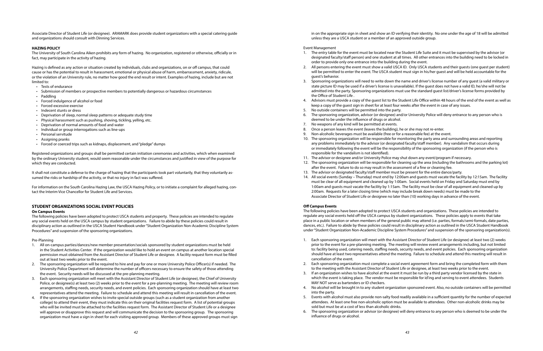Associate Director of Student Life (or designee). ARAMARK does provide student organizations with a special catering guide and organizations should consult with Dinning Services.

#### **HAZING POLICY**

The University of South Carolina Aiken prohibits any form of hazing. No organization, registered or otherwise, officially or in fact, may participate in the activity of hazing.

Hazing is defined as any action or situation created by individuals, clubs and organizations, on or off campus, that could cause or has the potential to result in harassment, emotional or physical abuse of harm, embarrassment, anxiety, ridicule, or the violation of an University rule, no matter how good the end result or intent. Examples of hazing, include but are not limited to:

- Tests of endurance
- Submission of members or prospective members to potentially dangerous or hazardous circumstances
- Paddling
- Forced indulgence of alcohol or food
- Forced excessive exercise
- Indecent stunts or dress
- Deprivation of sleep, normal sleep patterns or adequate study time
- Physical harassment such as pushing, shoving, tickling, yelling, etc.
- Deprivation of normal amounts of food and water
- Individual or group interrogations such as line-ups
- Personal servitude
- Assigning pranks
- Forced or coerced trips such as kidnaps, displacement, and "pledge" dumps

Registered organizations and groups shall be permitted certain initiation ceremonies and activities, which when examined by the ordinary University student, would seem reasonable under the circumstances and justified in view of the purpose for which they are conducted.

It shall not constitute a defense to the charge of hazing that the participants took part voluntarily, that they voluntarily assumed the risks or hardship of the activity, or that no injury in fact was suffered.

For information on the South Carolina Hazing Law, the USCA Hazing Policy, or to initiate a complaint for alleged hazing, contact the Interim Vice Chancellor for Student Life and Services.

#### **STUDENT ORGANIZATIONS SOCIAL EVENT POLICIES**

#### **On Campus Events**

The following policies have been adopted to protect USCA students and property. These policies are intended to regulate any social events held on the USCA campus by student organizations. Failure to abide by these policies could result in disciplinary action as outlined in the USCA Student Handbook under "Student Organization Non-Academic Discipline System Procedures" and suspension of the sponsoring organizations.

Pre-Planning

- 1. All on-campus parties/dances/new member presentation/socials sponsored by student organizations must be held in the Student Activities Center. If the organization would like to hold an event on campus at another location special permission must obtained from the Assistant Director of Student Life or designee. A facility request form must be filled out at least two weeks prior to the event.
- 2. The sponsoring organization will be required to hire and pay for one or more University Police Officer(s) if needed. The University Police Department will determine the number of officers necessary to ensure the safety of those attending the event. Security needs will be discussed at the pre-planning meeting.
- 3. Each sponsoring organization will meet with the Assistant Director of Student Life (or designee), the Chief of University Police, or designee(s) at least two (2) weeks prior to the event for a pre-planning meeting. The meeting will review room arrangements, staffing needs, security needs, and event policies. Each sponsoring organization should have at least two representatives attend the meeting. Failure to schedule and attend this meeting will result in cancellation of the event.
- 4. If the sponsoring organization wishes to invite special outside groups (such as a student organization from another college) to attend their event, they must indicate this on their original facilities request form. A list of potential groups who will be invited must be attached to the facilities request form. The Assistant Director of Student Life or a designee will approve or disapprove this request and will communicate the decision to the sponsoring group. The sponsoring organization must have a sign in sheet for each visiting approved group. Members of these approved groups must sign

in on the appropriate sign in sheet and show an ID verifying their identity. No one under the age of 18 will be admitted unless they are a USCA student or a member of an approved outside group.

#### Event Management

1. The entry table for the event must be located near the Student Life Suite and it must be supervised by the advisor (or designated faculty/staff person) and one student at all times. All other entrances into the building need to be locked in

2. All persons entering the event must show a valid USCA ID. Only USCA students and their guests (one guest per student) will be permitted to enter the event. The USCA student must sign in his/her guest and will be held accountable for the

3. Sponsoring organizations will need to write down the name and driver's license number of any guest (a valid military or state picture ID may be used if a driver's license is unavailable). If the guest does not have a valid ID, he/she will not be admitted into the party. Sponsoring organizations must use the standard guest list/driver's license forms provided by

4. Advisors must provide a copy of the guest list to the Student Life Office within 48 hours of the end of the event as well as

6. The sponsoring organization, advisor (or designee) and/or University Police will deny entrance to any person who is

- order to provide only one entrance into the building during the event.
- guest's behavior.
- the Office of Student Life .
- keep a copy of the guest sign in sheet for at least four weeks after the event in case of any issues.
- No outside containers will be permitted into the party.
- deemed to be under the influence of drugs or alcohol.
- 7. No weapons of any kind will be permitted at events.
- 8. Once a person leaves the event (leaves the building), he or she may not re-enter.
- 9. Non-alcoholic beverages must be available (free or for a reasonable fee) at the event.
- responsible for the vandalism is not identified).
- 11. The advisor or designee and/or University Police may shut down any event/program if necessary.
- after the event. Failure to do so may result in the assessment of a fine or cleaning fee.
- 2:00am. Requests for a later closing time (which may include break down needs) must be made to the

10. The sponsoring organization will be responsible for monitoring the party area and surrounding areas and reporting any problems immediately to the advisor (or designated faculty/staff member). Any vandalism that occurs during or immediately following the event will be the responsibility of the sponsoring organization (if the person who is

12. The sponsoring organization will be responsible for cleaning up the area (including the bathrooms and the parking lot)

13. The advisor or designated faculty/staff member must be present for the entire dance/party.

14. All social events (Sunday – Thursday) must end by 12:00am and guests must vacate the facility by 12:15am. The facility must be clear of all equipment and cleaned up by 1:00am. Social events held on Friday and Saturday must end by 1:00am and guests must vacate the facility by 1:15am. The facility must be clear of all equipment and cleaned up by

Associate Director of Student Life or designee no later than (10) working days in advance of the event.

#### **Off Campus Events**

The following policies have been adopted to protect USCA students and organizations. These policies are intended to regulate any social events held off the USCA campus by student organizations. These policies apply to events that take place in a public location or when members of the general public may attend (i.e. parties, formals/semi-formals, date parties, dances, etc.). Failure to abide by these policies could result in disciplinary action as outlined in the USCA Student Handbook under "Student Organization Non-Academic Discipline System Procedures" and suspension of the sponsoring organization(s).

1. Each sponsoring organization will meet with the Assistant Director of Student Life (or designee) at least two (2) weeks prior to the event for a pre-planning meeting. The meeting will review event arrangements including, but not limited to: facility being used, catering needs, staffing needs, security needs, and event policies. Each sponsoring organization should have at least two representatives attend the meeting. Failure to schedule and attend this meeting will result in

2. Each sponsoring organization must complete a social event agreement form and bring the completed form with them to the meeting with the Assistant Director of Student Life or designee, at least two weeks prior to the event. 3. If an organization wishes to have alcohol at the event it must be run by a third party vendor licensed by the state in which the event is taking place. The vendor must be responsible for id'ing and serving to event attendees. Students

- cancellation of the event.
- 
- MAY NOT serve as bartenders or ID checkers.
- into the party.
- sold but must be at a cost of less than alcoholic drinks.
- influence of drugs or alcohol.

4. No alcohol will be brought in to any student organization sponsored event. Also, no outside containers will be permitted

5. Events with alcohol must also provide non-salty food readily available in a sufficient quantity for the number of expected attendees. At least one free non-alcoholic option must be available to attendees. Other non-alcoholic drinks may be

6. The sponsoring organization or advisor (or designee) will deny entrance to any person who is deemed to be under the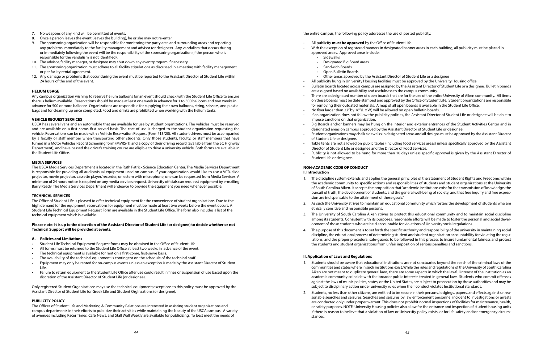- 7. No weapons of any kind will be permitted at events.
- 8. Once a person leaves the event (leaves the building), he or she may not re-enter.
- 9. The sponsoring organization will be responsible for monitoring the party area and surrounding areas and reporting any problems immediately to the facility management and advisor (or designee). Any vandalism that occurs during or immediately following the event will be the responsibility of the sponsoring organization (if the person who is responsible for the vandalism is not identified).
- 10. The advisor, facility manager, or designee may shut down any event/program if necessary.
- 11. The sponsoring organization must adhere to all facility stipulations as discussed in a meeting with facility management or per facilty rental agreement.
- 12. Any damage or problems that occur during the event must be reported to the Assistant Director of Student Life within 24 hours of the end of the event.

#### **HELIUM USAGE**

Any campus organization wishing to reserve helium balloons for an event should check with the Student Life Office to ensure there is helium available. Reservations should be made at least one week in advance for 1 to 500 balloons and two weeks in advance for 500 or more balloons. Organizations are responsible for supplying their own balloons, string, scissors, and plastic bags and for cleaning up once completed. Food and drinks are prohibited when working with the helium tanks.

#### **VEHICLE REQUEST SERVICES**

USCA has several vans and an automobile that are available for use by student organizations. The vehicles must be reserved and are available on a first come, first served basis. The cost of use is charged to the student organization requesting the vehicle. Reservations can be made with a Vehicle Reservation Request (Form#13/20). All student drivers must be accompanied by a faculty or staff member when transporting other students. Only those students, faculty, or staff members that have turned in a Motor Vehicles Record Screening form (MVRS-1) and a copy of their driving record (available from the SC Highway Department), and have passed the driver's training course are eligible to drive a university vehicle. Both forms are available in the Student Life Office.

#### **MEDIA SERVICES**

The USCA Media Services Department is located in the Ruth Patrick Science Education Center. The Media Services Department is responsible for providing all audio/visual equipment used on campus. If your organization would like to use a VCR, slide projector, movie projector, cassette player/recorder, or lectern with microphone, one can be requested from Media Services. A minimum of 24 hours notice is required on any media services request. University officials can requesst equipment by e-mailing Barry Ready. The Media Services Department will endeavor to provide the equipment you need whenever possible.

#### **TECHNICAL SERVICES**

The Office of Student Life is pleased to offer technical equipment for the convenience of student organizations. Due to the high demand for the equipment, reservations for equipment must be made at least two weeks before the event occurs. A Student Life Technical Equipment Request Form are available in the Student Life Office. The form also includes a list of the technical equipment which is available.

#### **Please note: It is up to the discretion of the Assistant Director of Student Life (or designee) to decide whether or not Technical Support will be provided at events.**

#### **A. Policies and Limitations**

- Student Life Technical Equipment Request forms may be obtained in the Office of Student Life
- All forms must be returned to the Student Life Office at least two weeks in advance of the event.
- The technical equipment is available for rent on a first-come, first-serve basis.
- The availability of the technical equipment is contingent on the schedule of the technical staff.
- Equipment may only be rented for on-campus events unless an exception is made by the Assistant Director of Student Life.
- Failure to return equipment to the Student Life Office after use could result in fines or suspension of use based upon the discretion of the Assistant Director of Student Life (or designee).

Only registered Student Organizations may use the technical equipment; exceptions to this policy must be approved by the Assistant Director of Student Life for Greek Life and Student Orginzations (or designee).

#### **PUBLICITY POLICY**

The Offices of Student Life and Marketing & Community Relations are interested in assisting student organizations and campus departments in their efforts to publicize their activities while maintaining the beauty of the USCA campus. A variety of avenues including Pacer Times, Café' News, and Stall Wall Weekly are available for publicizing. To best meet the needs of

the entire campus, the following policy addresses the use of posted publicity.

• With the exception of registered banners in designated banner areas in each building, all publicity must be placed in

- All publicity **must be approved** by the Office of Student Life.
- approved areas. Approved areas include:
	- Sidewalks
	- Designated Big Board areas
	- Sandwich Boards
	- Open Bulletin Boards
- Other areas approved by the Assistant Director of Student Life or a designee
- All publicity hung in University Housing facilities must be approved by the University Housing office.
- Bulletin boards located across campus are assigned by the Assistant Director of Student Life or a designee. Bulletin boards are assigned based on availability and usefulness to the campus community.
- There are a designated number of open boards that are for the use of the entire University of Aiken community. All items on these boards must be date-stamped and approved by the Office of Student Life. Student organizations are responsible for removing their outdated materials. A map of all open boards is available in the Student Life Office. • No flyer larger than 22" by 16" (L x W) will be allowed on open bulletin boards.
- 
- If an organization does not follow the publicity policies, the Assistant Director of Student Life or designee will be able to impose sanctions on that organization.
- designated areas on campus approved by the Assistant Director of Student Life or designee.
- Student organizations may chalk sidewalks in designated areas and all designs must be approved by the Assistant Director of Student Life or designee.
- Director of Student Life or designee and the Director of Food Services.
- Student Life or designee.

• Big Boards and/or banners may be hung on the interior and exterior entrances of the Student Activities Center and in

• Table tents are not allowed on public tables (including food services areas) unless specifically approved by the Assistant

• Publicity is not allowed to be hung for more than 10 days unless specific approval is given by the Assistant Director of

### **NON-ACADEMIC CODE OF CONDUCT**

1. The discipline system extends and applies the general principles of the Statement of Student Rights and Freedoms within the academic community to specific actions and responsibilities of students and student organizations at the University of South Carolina Aiken. It accepts the proposition that "academic institutions exist for the transmission of knowledge, the pursuit of truth, the development of students, and the general well-being of society, and that free inquiry and free expres-

2. As such the University strives to maintain an educational community which fosters the development of students who are

- **I. Introduction**
- sion are indispensable to the attainment of these goals."
- ethically sensitive and responsible persons.
- opment of those students who are held accountable for violations of University social regulations.
- the students and student organizations from unfair imposition of serious penalties and sanctions.

3. The University of South Carolina Aiken strives to protect this educational community and to maintain social discipline among its students. Consistent with its purposes, reasonable efforts will be made to foster the personal and social devel-

4. The purpose of this document is to set forth the specific authority and responsibility of the university in maintaining social discipline, the educational process of determining student and student organization accountability for violating the regulations, and the proper procedural safe-guards to be followed in this process to insure fundamental fairness and protect

#### **II. Application of Laws and Regulations**

1. Students should be aware that educational institutions are not sanctuaries beyond the reach of the criminal laws of the communities and states where in such institutions exist. While the rules and regulations of the University of South Carolina Aiken are not meant to duplicate general laws, there are some aspects in which the lawful interest of the institution as an academic community coincide with the broader public interests treated in general laws. Students who commit offenses against the laws of municipalities, states, or the United States, are subject to prosecution by those authorities and may be

- subject to disciplinary action under university rules when their conduct violates Institutional standards.
- stances.

2. Students, no less than other citizens, are entitled to be secure in their persons, lodgings, papers, and effects against unreasonable searches and seizures. Searches and seizures by law enforcement personnel incident to investigations or arrests are conducted only under proper warrant. This does not prohibit normal inspections of facilities for maintenance, health, or safety purposes. NOTE: University Housing policies also allow for the entrance and inspection of student housing units if there is reason to believe that a violation of law or University policy exists, or for life safety and/or emergency circum-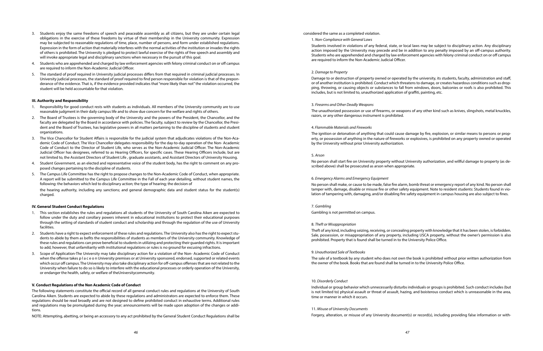- 3. Students enjoy the same freedoms of speech and peaceable assembly as all citizens, but they are under certain legal obligations in the exercise of these freedoms by virtue of their membership in the University community. Expression may be subjected to reasonable regulations of time, place, number of persons, and form under established regulations. Expression in the form of action that materially interferes with the normal activities of the institution or invades the rights of others is prohibited. The University is pledged to protect lawful exercise of the rights of free speech and assembly and will invoke appropriate legal and disciplinary sanctions when necessary in the pursuit of this goal.
- 4. Students who are apprehended and charged by law enforcement agencies with felony criminal conduct on or off campus are required to inform the Non-Academic Judicial Officer.
- 5. The standard of proof required in University judicial processes differs from that required in criminal judicial processes. In University judicial processes, the standard of proof required to find person responsible for violation is that of the preponderance of the evidence. That is, if the evidence provided indicates that "more likely than not" the violation occurred, the student will be held accountable for that violation.

#### **III. Authority and Responsibility**

- 1. Responsibility for good conduct rests with students as individuals. All members of the University community are to use reasonable judgment in their daily campus life and to show due concern for the welfare and rights of others.
- 2. The Board of Trustees is the governing body of the University and the powers of the President, the Chancellor, and the faculty are delegated by the Board in accordance with policies. The faculty, subject to review by the Chancellor, the President and the Board of Trustees, has legislative powers in all matters pertaining to the discipline of students and student organizations.
- 3. The Vice Chancellor for Student Affairs is responsible for the judicial system that adjudicates violations of the Non-Academic Code of Conduct. The Vice Chancellor delegates responsibility for the day-to-day operation of the Non- Academic Code of Conduct to the Director of Student Life, who serves as the Non-Academic Judicial Officer. The Non-Academic Judicial Officer has designees, referred to as Hearing Officers, for specific cases. These Hearing Officers include, but are not limited to, the Assistant Directors of Student Life , graduate assistants, and Assistant Directors of University Housing.
- 4. Student Government, as an elected and representative voice of the student body, has the right to comment on any proposed changes pertaining to the discipline of students.
- 5. The Campus Life Committee has the right to propose changes to the Non-Academic Code of Conduct, when appropriate. A report will be submitted to the Campus Life Committee in the Fall of each year detailing, without student names, the following: the behaviors which led to disciplinary action; the type of hearing; the decision of

the hearing authority, including any sanctions; and general demographic data and student status for the student(s) charged.

#### **IV. General Student Conduct Regulations**

- 1. This section establishes the rules and regulations all students of the University of South Carolina Aiken are expected to follow under the duty and corollary powers inherent in educational institutions to protect their educational purposes through the setting of standards of student conduct and scholarship and through the regulation of the use of University facilities.
- 2. Students have a right to expect enforcement of these rules and regulations. The University also has the right to expect students to abide by them as befits the responsibilities of students as members of the University community. Knowledge of these rules and regulations can prove beneficial to students in utilizing and protecting their guarded rights. It is important to add, however, that unfamiliarity with institutional regulations or rules is no ground for excusing infractions.
- 3. Scope of Application-The University may take disciplinary action for a violation of the Non- Academic Code of Conduct when the offense takes p I a c e o n University premises or at University sponsored, endorsed, supported or related events which occur off campus. The University may also take disciplinary action for off-campus offenses that are not related to the University when failure to do so is likely to interfere with the educational processes or orderly operation of the University, or endanger the health, safety, or welfare of theUniversitycommunity.

#### **V. Conduct Regulations of the Non Academic Code of Conduct**

The following statements constitute the official record of all general conduct rules and regulations at the University of South Carolina Aiken. Students are expected to abide by these regulations and administrators are expected to enforce them. These regulations should be read broadly and are not designed to define prohibited conduct in exhaustive terms. Additional rules and regulations may be promulgated during the year; announcements will be made upon adoption of the changes or additions.

NOTE: Attempting, abetting, or being an accessory to any act prohibited by the General Student Conduct Regulations shall be

considered the same as a completed violation.

1. *Non-Compliance with General Laws*

Students involved in violations of any federal, state, or local laws may be subject to disciplinary action. Any disciplinary action imposed by the University may precede and be in addition to any penalty imposed by an off-campus authority. Students who are apprehended and charged by law enforcement agencies with felony criminal conduct on or off campus are required to inform the Non-Academic Judicial Officer.

#### 2. *Damage to Property*

Damage to or destruction of property owned or operated by the university, its students, faculty, administration and staff, or of another institution is prohibited. Conduct which threatens to damage, or creates hazardous conditions such as dropping, throwing, or causing objects or substances to fall from windows, doors, balconies or roofs is also prohibited. This includes, but is not limited to, unauthorized application of graffiti, painting, etc.

#### 3. *Firearms and Other Deadly Weapons*

The unauthorized possession or use of firearms, or weapons of any other kind such as knives, slingshots, metal knuckles, razors, or any other dangerous instrument is prohibited.

#### 4. *Flammable Materials and Fireworks*

The ignition or detonation of anything that could cause damage by fire, explosion, or similar means to persons or property, or possession of anything in the nature of fireworks or explosives, is prohibited on any property owned or operated by the University without prior University authorization.

#### 5. *Arson*

No person shall start fire on University property without University authorization, and willful damage to property (as described above) shall be prosecuted as arson when appropriate.

#### 6. *Emergency Alarms and Emergency Equipment*

No person shall make, or cause to be made, false fire alarm, bomb threat or emergency report of any kind. No person shall tamper with, damage, disable or misuse fire or other safety equipment. Note to resident students: Students found in violation of tampering with, damaging, and/or disabling fire safety equipment in campus housing are also subject to fines.

7. *Gambling*

Gambling is not permitted on campus.

#### 8. *Theft or Misappropriation*

Theft of any kind, including seizing, receiving, or concealing property with knowledge that it has been stolen, is forbidden. Sale, possession, or misappropriation of any property, including USCA property, without the owner's permission is also prohibited. Property that is found shall be turned in to the University Police Office.

#### 9. *Unauthorized Sale of Textbooks*

The sale of a textbook by any student who does not own the book is prohibited without prior written authorization from the owner of the book. Books that are found shall be turned in to the University Police Office.

#### 10. *Disorderly Conduct*

Individual or group behavior which unnecessarily disturbs individuals or groups is prohibited. Such conduct includes (but is not limited to) physical assault or threat of assault, hazing, and boisterous conduct which is unreasonable in the area, time or manner in which it occurs.

### 11. *Misuse of University Documents*

Forgery, alteration, or misuse of any University document(s) or record(s), including providing false information or with-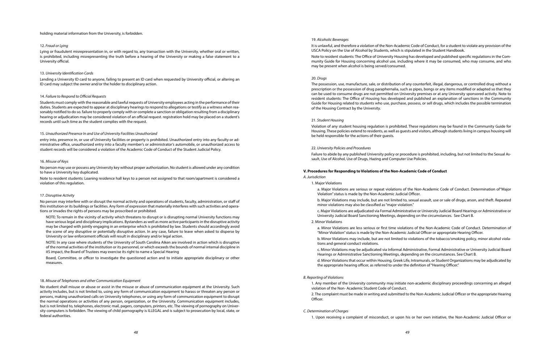holding material information from the University, is forbidden.

#### 12. *Fraud or Lying*

Lying or fraudulent misrepresentation in, or with regard to, any transaction with the University, whether oral or written, is prohibited, including misrepresenting the truth before a hearing of the University or making a false statement to a University official.

#### 13. *University Identification Cards*

Lending a University ID card to anyone, failing to present an ID card when requested by University official, or altering an ID card may subject the owner and/or the holder to disciplinary action.

#### 14. *Failure to Respond to Official Requests*

Students must comply with the reasonable and lawful requests of University employees acting in the performance of their duties. Students are expected to appear at disciplinary hearings to respond to allegations or testify as a witness when reasonably notified to do so. failure to properly comply with or complete a sanction or obligation resulting from a disciplinary hearing or adjudication may be considered violation of an official request. registration hold may be placed on a student's records until such time as the student complies with the request.

#### 15. *Unauthorized Presence In and Use of University Facilities Unauthorized*

entry into, presence in, or use of University facilities or property is prohibited. Unauthorized entry into any faculty or administrative office, unauthorized entry into a faculty member's or administrator's automobile, or unauthorized access to student records will be considered a violation of the Academic Code of Conduct of the Student Judicial Policy.

#### 16. *Misuse of Keys*

No person may use or possess any University key without proper authorization. No student is allowed under any condition to have a University key duplicated.

Note to resident students: Loaning residence hall keys to a person not assigned to that room/apartment is considered a violation of this regulation.

#### 17. *Disruptive Activity*

No person may interfere with or disrupt the normal activity and operations of students, faculty, administration, or staff of this institution or its buildings or facilities. Any form of expression that materially interferes with such activities and operations or invades the rights of persons may be proscribed or prohibited.

NOTE: To remain in the vicinity of activity which threatens to disrupt or is disrupting normal University functions may have serious legal and disciplinary implications. Bystanders as well as more active participants in the disruptive activity may be charged with jointly engaging in an enterprise which is prohibited by law. Students should accordingly avoid the scene of any disruptive or potentially disruptive action. In any case, failure to leave when asked to disperse by University or law enforcement officials will result in disciplinary and/or legal action.

NOTE: In any case where students of the University of South Carolina Aiken are involved in action which is disruptive of the normal activities of the institution or its personnel, or which exceeds the bounds of normal internal discipline in itS impact, the Board of Trustees may exercise its right to name a Special Hearing

Board, Committee, or officer to investigate the questioned action and to initiate appropriate disciplinary or other measures.

#### 18. *Misuse of Telephones and other Communication Equipment*

No student shall misuse or abuse or assist in the misuse or abuse of communication equipment at the University. Such activity includes, but is not limited to, using any form of communication equipment to harass or threaten any person or persons, making unauthorized calls on University telephones, or using any form of communication equipment to disrupt the normal operations or activities of any person, organization, or the University. Communication equipment includes, but is not limited to, telephones, electronic mail, pagers, computers, printers, etc. The viewing of pornography on University computers is forbidden. The viewing of child pornography is ILLEGAL and is subject to prosecution by local, state, or federal authorities.

#### 19. *Alcoholic Beverages*

It is unlawful, and therefore a violation of the Non-Academic Code of Conduct, for a student to violate any provision of the USCA Policy on the Use of Alcohol by Students, which is stipulated in the Student Handbook.

Note to resident students: The Office of University Housing has developed and published specific regulations in the Community Guide for Housing concerning alcohol use, including where it may be consumed, who may consume, and who may be present when alcohol is being served/consumed.

#### 20. *Drugs*

The possession, use, manufacture, sale, or distribution of any counterfeit, illegal, dangerous, or controlled drug without a prescription or the possession of drug paraphernalia, such as pipes, bongs or any items modified or adapted so that they can be used to consume drugs are not permitted on University premises or at any University sponsored activity. Note to resident students: The Office of Housing has developed and published an explanation of sanctions in the Community Guide for Housing related to students who use, purchase, possess, or sell drugs, which includes the possible termination of the Housing Contract by the University.

#### 21. *Student Housing*

Violation of any student housing regulation is prohibited. These regulations may be found in the Community Guide for Housing. These policies extend to residents, as well as guests and visitors, although students living in campus housing will be held responsible for the actions of their guests.

#### 22. *University Policies and Procedures*

Failure to abide by any published University policy or procedure is prohibited, including, but not limited to the Sexual Assault, Use of Alcohol, Use of Drugs, Hazing and Computer Use Policies.

#### **V. Procedures for Responding to Violations of the Non-Academic Code of Conduct**

#### *A. Jurisdiction*

1. Major Violations

a. Major Violations are serious or repeat violations of the Non-Academic Code of Conduct. Determination of"Major Violation" status is made by the Non-Academic Judicial Officer.

b. Major Violations may include, but are not limited to, sexual assault, use or sale of drugs, arson, and theft. Repeated minor violations may also be classified as "major violation."

c. Major Violations are adjudicated via Formal Administrative or University Judicial Board Hearings or Administrative or University Judicial Board Sanctioning Meetings, depending on the circumstances. See Chart B.

2. Minor Violations

a. Minor Violations are less serious or first time violations of the Non-Academic Code of Conduct. Determination of "Minor Violation" status is made by the Non-Academic Judicial Officer or appropriate Hearing Officer.

b. Minor Violations may include, but are not limited to violations of the tobacco/smoking policy, minor alcohol violations and general conduct violations.

c. Minor Violations may be adjudicated via Informal Administrative, Formal Administrative or University Judicial Board Hearings or Administrative Sanctioning Meetings, depending on the circumstances. See Chart B.

d. Minor Violations that occur within Housing, Greek Life, Intramurals, or Student Organizations may be adjudicated by the appropriate hearing officer, as referred to under the definition of "Hearing Officer."

#### *B. Reporting of Violations*

1. Any member of the University community may initiate non-academic disciplinary proceedings concerning an alleged violation of the Non- Academic Student Code of Conduct.

2. The complaint must be made in writing and submitted to the Non-Academic Judicial Officer or the appropriate Hearing Officer.

#### *C. Determination of Charges*

1. Upon receiving a complaint of misconduct, or upon his or her own initiative, the Non-Academic Judicial Officer or